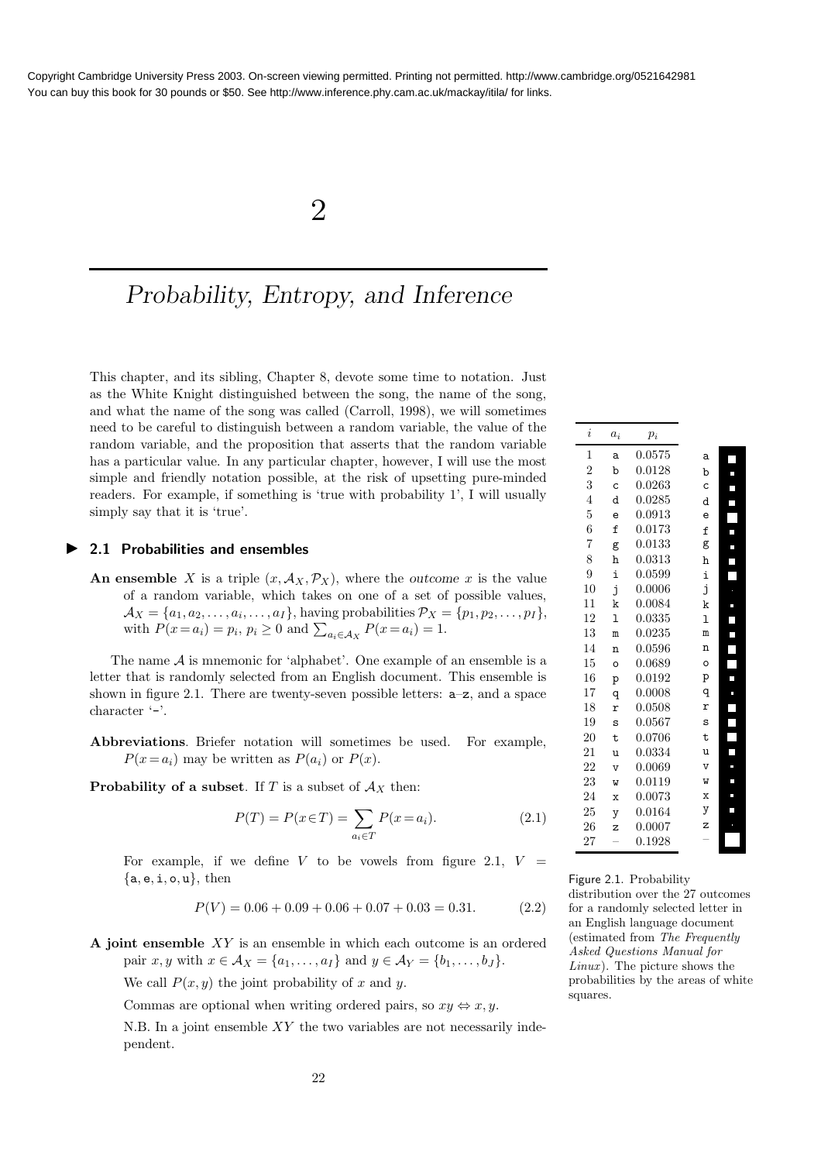# $\mathcal{D}_{\mathcal{L}}$

# Probability, Entropy, and Inference

This chapter, and its sibling, Chapter 8, devote some time to notation. Just as the White Knight distinguished between the song, the name of the song, and what the name of the song was called (Carroll, 1998), we will sometimes need to be careful to distinguish between a random variable, the value of the random variable, and the proposition that asserts that the random variable has a particular value. In any particular chapter, however, I will use the most simple and friendly notation possible, at the risk of upsetting pure-minded readers. For example, if something is 'true with probability 1', I will usually simply say that it is 'true'.

#### ▶ 2.1 Probabilities and ensembles

An ensemble X is a triple  $(x, \mathcal{A}_X, \mathcal{P}_X)$ , where the *outcome* x is the value of a random variable, which takes on one of a set of possible values,  $\mathcal{A}_X = \{a_1, a_2, \ldots, a_i, \ldots, a_I\}$ , having probabilities  $\mathcal{P}_X = \{p_1, p_2, \ldots, p_I\}$ , with  $P(x = a_i) = p_i$ ,  $p_i \ge 0$  and  $\sum_{a_i \in A_X} P(x = a_i) = 1$ .

The name A is mnemonic for 'alphabet'. One example of an ensemble is a letter that is randomly selected from an English document. This ensemble is shown in figure 2.1. There are twenty-seven possible letters: a–z, and a space character '-'.

Abbreviations. Briefer notation will sometimes be used. For example,  $P(x=a_i)$  may be written as  $P(a_i)$  or  $P(x)$ .

**Probability of a subset**. If T is a subset of  $A_X$  then:

$$
P(T) = P(x \in T) = \sum_{a_i \in T} P(x = a_i).
$$
 (2.1)

For example, if we define V to be vowels from figure 2.1,  $V =$  ${a, e, i, o, u}$ , then

$$
P(V) = 0.06 + 0.09 + 0.06 + 0.07 + 0.03 = 0.31.
$$
 (2.2)

A joint ensemble  $XY$  is an ensemble in which each outcome is an ordered pair x, y with  $x \in A_X = \{a_1, ..., a_I\}$  and  $y \in A_Y = \{b_1, ..., b_J\}$ .

We call  $P(x, y)$  the joint probability of x and y.

Commas are optional when writing ordered pairs, so  $xy \Leftrightarrow x, y$ .

N.B. In a joint ensemble  $XY$  the two variables are not necessarily independent.

| i              | $a_i$          | $p_i$  |                         |  |
|----------------|----------------|--------|-------------------------|--|
| 1              | a              | 0.0575 | a                       |  |
| $\overline{2}$ | b              | 0.0128 | b                       |  |
| 3              | Ċ              | 0.0263 | C                       |  |
| $\overline{4}$ | d              | 0.0285 | d                       |  |
| $\overline{5}$ | e              | 0.0913 | e                       |  |
| 6              | f              | 0.0173 | f                       |  |
| $\overline{7}$ | g              | 0.0133 | g                       |  |
| 8              | h              | 0.0313 | h                       |  |
| 9              | i              | 0.0599 | i                       |  |
| 10             | j              | 0.0006 | j                       |  |
| 11             | k              | 0.0084 | k                       |  |
| 12             | 1              | 0.0335 | ı                       |  |
| 13             | m              | 0.0235 | m                       |  |
| 14             | n              | 0.0596 | n                       |  |
| 15             | $\circ$        | 0.0689 | O                       |  |
| 16             | p              | 0.0192 | p                       |  |
| 17             | q              | 0.0008 | q                       |  |
| 18             | r              | 0.0508 | r                       |  |
| 19             | S              | 0.0567 | S                       |  |
| 20             | t              | 0.0706 | t                       |  |
| 21             | u              | 0.0334 | u                       |  |
| 22             | $\overline{V}$ | 0.0069 | $\overline{\mathsf{v}}$ |  |
| 23             | W              | 0.0119 | W                       |  |
| 24             | $\bar{x}$      | 0.0073 | X                       |  |
| 25             | y              | 0.0164 | у                       |  |
| 26             | z              | 0.0007 | z                       |  |
| 27             |                | 0.1928 |                         |  |
|                |                |        |                         |  |

Figure 2.1. Probability distribution over the 27 outcomes for a randomly selected letter in an English language document (estimated from The Frequently Asked Questions Manual for  $Linux$ ). The picture shows the probabilities by the areas of white squares.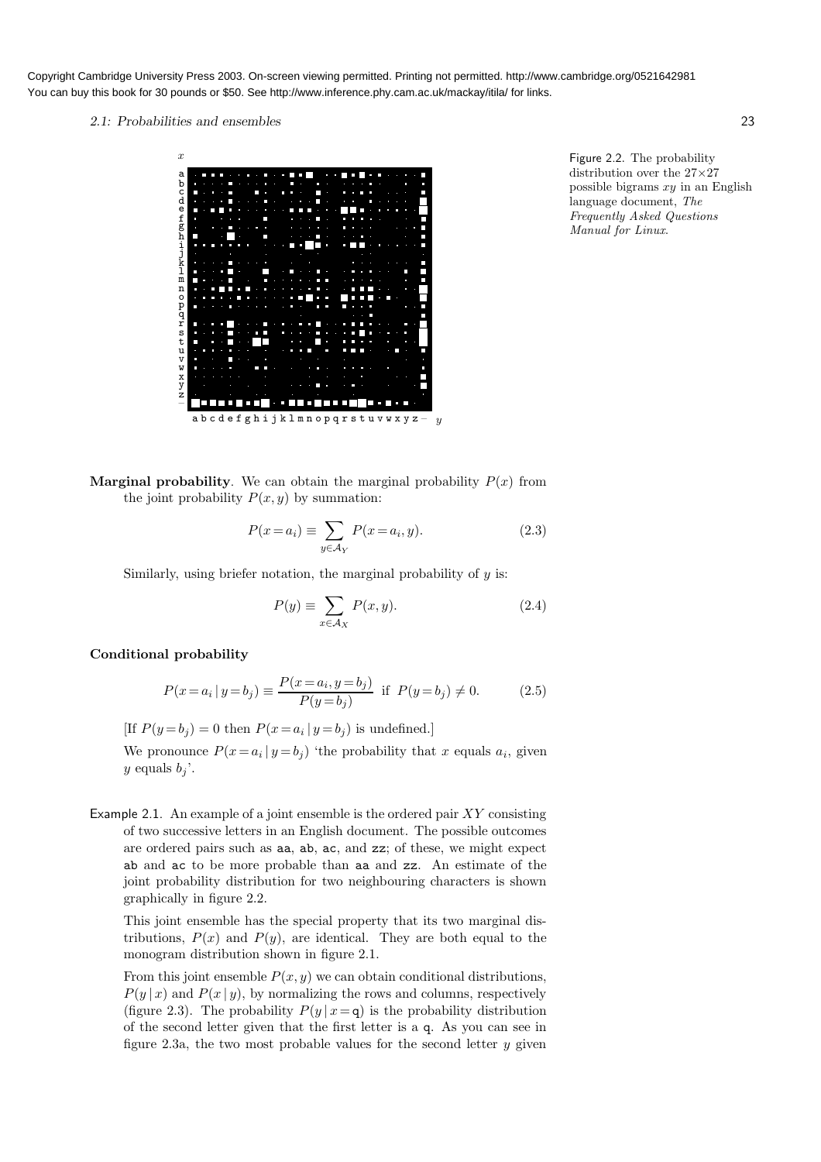2.1: Probabilities and ensembles 23



distribution over the 27×27 possible bigrams  $xy$  in an English language document, The Frequently Asked Questions Manual for Linux.

**Marginal probability**. We can obtain the marginal probability  $P(x)$  from the joint probability  $P(x, y)$  by summation:

$$
P(x = a_i) \equiv \sum_{y \in A_Y} P(x = a_i, y). \tag{2.3}
$$

Similarly, using briefer notation, the marginal probability of  $y$  is:

$$
P(y) \equiv \sum_{x \in \mathcal{A}_X} P(x, y). \tag{2.4}
$$

#### Conditional probability

$$
P(x = a_i | y = b_j) \equiv \frac{P(x = a_i, y = b_j)}{P(y = b_j)} \text{ if } P(y = b_j) \neq 0.
$$
 (2.5)

[If  $P(y=b_j)=0$  then  $P(x=a_i | y=b_j)$  is undefined.]

We pronounce  $P(x=a_i | y=b_j)$  'the probability that x equals  $a_i$ , given y equals  $b_j$ '.

Example 2.1. An example of a joint ensemble is the ordered pair  $XY$  consisting of two successive letters in an English document. The possible outcomes are ordered pairs such as aa, ab, ac, and zz; of these, we might expect ab and ac to be more probable than aa and zz. An estimate of the joint probability distribution for two neighbouring characters is shown graphically in figure 2.2.

This joint ensemble has the special property that its two marginal distributions,  $P(x)$  and  $P(y)$ , are identical. They are both equal to the monogram distribution shown in figure 2.1.

From this joint ensemble  $P(x, y)$  we can obtain conditional distributions,  $P(y | x)$  and  $P(x | y)$ , by normalizing the rows and columns, respectively (figure 2.3). The probability  $P(y | x = q)$  is the probability distribution of the second letter given that the first letter is a q. As you can see in figure 2.3a, the two most probable values for the second letter  $y$  given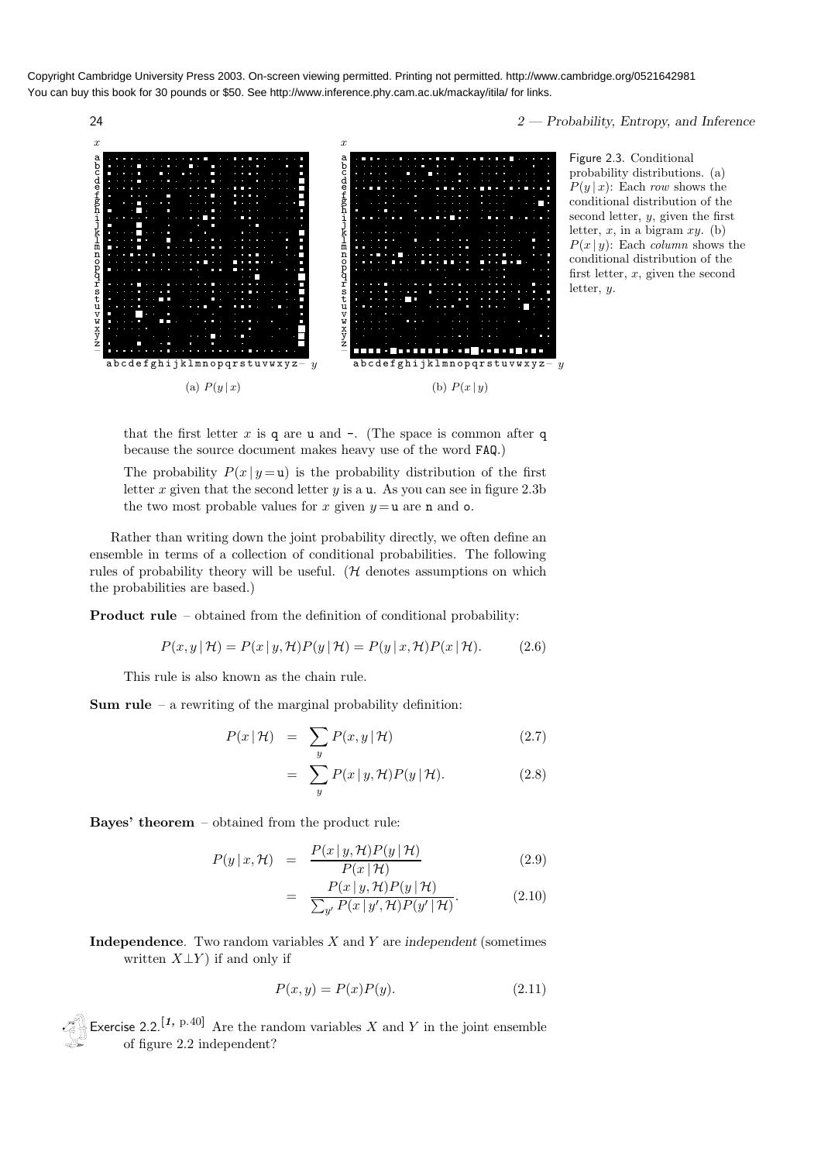

Figure 2.3. Conditional probability distributions. (a)  $P(y | x)$ : Each row shows the conditional distribution of the second letter,  $y$ , given the first letter,  $x$ , in a bigram  $xy$ . (b)  $P(x | y)$ : Each *column* shows the conditional distribution of the first letter,  $x$ , given the second letter, y.

that the first letter x is q are u and  $-$ . (The space is common after q because the source document makes heavy use of the word FAQ.)

The probability  $P(x | y = u)$  is the probability distribution of the first letter  $x$  given that the second letter  $y$  is a u. As you can see in figure 2.3b the two most probable values for x given  $y = u$  are n and o.

Rather than writing down the joint probability directly, we often define an ensemble in terms of a collection of conditional probabilities. The following rules of probability theory will be useful.  $(H$  denotes assumptions on which the probabilities are based.)

Product rule – obtained from the definition of conditional probability:

$$
P(x, y | \mathcal{H}) = P(x | y, \mathcal{H}) P(y | \mathcal{H}) = P(y | x, \mathcal{H}) P(x | \mathcal{H}). \tag{2.6}
$$

This rule is also known as the chain rule.

**Sum rule** – a rewriting of the marginal probability definition:

$$
P(x \mid \mathcal{H}) = \sum_{y} P(x, y \mid \mathcal{H}) \tag{2.7}
$$

$$
= \sum_{y} P(x \mid y, \mathcal{H}) P(y \mid \mathcal{H}). \tag{2.8}
$$

Bayes' theorem – obtained from the product rule:

$$
P(y \mid x, \mathcal{H}) = \frac{P(x \mid y, \mathcal{H}) P(y \mid \mathcal{H})}{P(x \mid \mathcal{H})}
$$
\n(2.9)

$$
= \frac{P(x|y,\mathcal{H})P(y|\mathcal{H})}{\sum_{y'} P(x|y',\mathcal{H})P(y'|\mathcal{H})}.
$$
 (2.10)

Independence. Two random variables  $X$  and  $Y$  are independent (sometimes written  $X \perp Y$  if and only if

$$
P(x, y) = P(x)P(y). \tag{2.11}
$$

Exercise 2.2.<sup>[1, p.40]</sup> Are the random variables X and Y in the joint ensemble of figure 2.2 independent?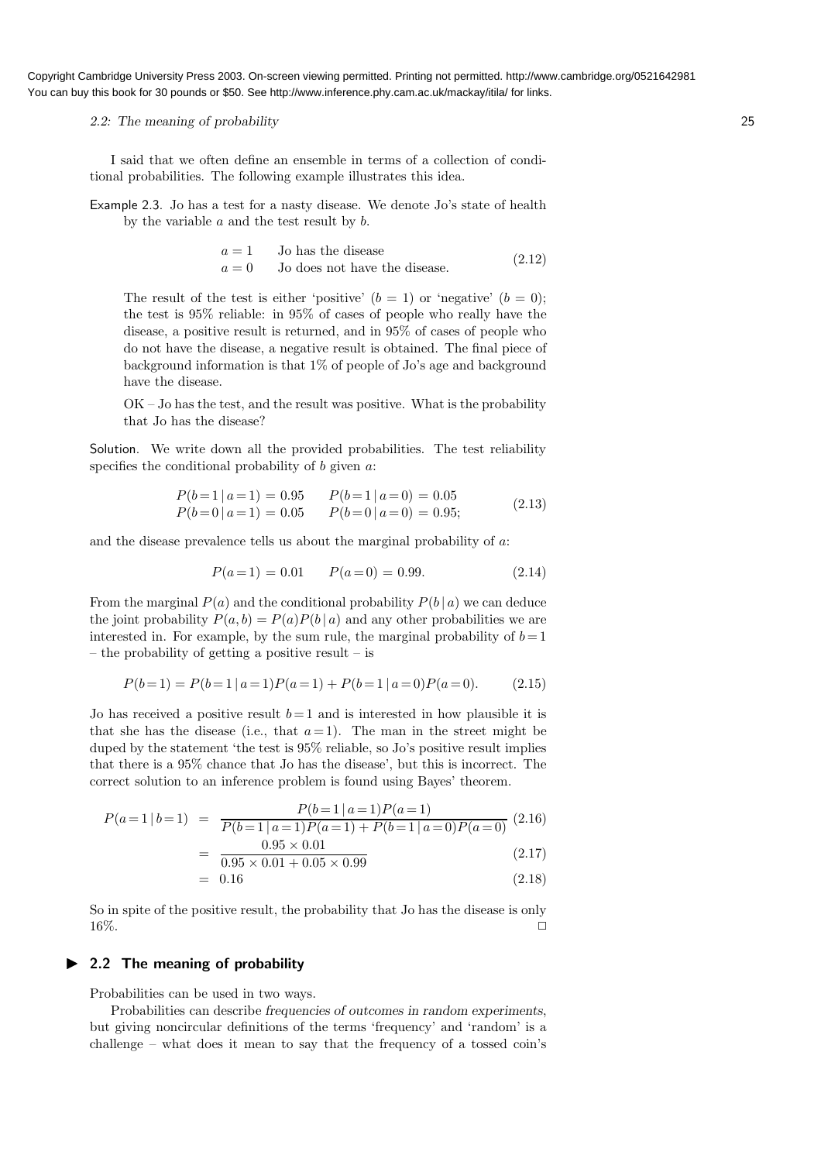2.2: The meaning of probability 25

I said that we often define an ensemble in terms of a collection of conditional probabilities. The following example illustrates this idea.

Example 2.3. Jo has a test for a nasty disease. We denote Jo's state of health by the variable  $a$  and the test result by  $b$ .

$$
a = 1
$$
Jo has the disease  
 
$$
a = 0
$$
Jo does not have the disease. (2.12)

The result of the test is either 'positive'  $(b = 1)$  or 'negative'  $(b = 0)$ ; the test is 95% reliable: in 95% of cases of people who really have the disease, a positive result is returned, and in 95% of cases of people who do not have the disease, a negative result is obtained. The final piece of background information is that 1% of people of Jo's age and background have the disease.

OK – Jo has the test, and the result was positive. What is the probability that Jo has the disease?

Solution. We write down all the provided probabilities. The test reliability specifies the conditional probability of  $b$  given  $a$ :

$$
P(b=1 | a=1) = 0.95 \t P(b=1 | a=0) = 0.05P(b=0 | a=1) = 0.05 \t P(b=0 | a=0) = 0.95;
$$
 (2.13)

and the disease prevalence tells us about the marginal probability of a:

$$
P(a=1) = 0.01 \qquad P(a=0) = 0.99. \tag{2.14}
$$

From the marginal  $P(a)$  and the conditional probability  $P(b | a)$  we can deduce the joint probability  $P(a, b) = P(a)P(b|a)$  and any other probabilities we are interested in. For example, by the sum rule, the marginal probability of  $b=1$ – the probability of getting a positive result – is

$$
P(b=1) = P(b=1 | a=1)P(a=1) + P(b=1 | a=0)P(a=0).
$$
 (2.15)

Jo has received a positive result  $b=1$  and is interested in how plausible it is that she has the disease (i.e., that  $a=1$ ). The man in the street might be duped by the statement 'the test is 95% reliable, so Jo's positive result implies that there is a 95% chance that Jo has the disease', but this is incorrect. The correct solution to an inference problem is found using Bayes' theorem.

$$
P(a=1 | b=1) = \frac{P(b=1 | a=1)P(a=1)}{P(b=1 | a=1)P(a=1) + P(b=1 | a=0)P(a=0)} (2.16)
$$

$$
= \frac{0.95 \times 0.01}{0.95 \times 0.01 + 0.95 \times 0.99} (2.17)
$$

$$
0.95 \times 0.01 + 0.05 \times 0.99
$$
  
= 0.16 (2.18)

So in spite of the positive result, the probability that Jo has the disease is only  $16\%$ .

# ▶ 2.2 The meaning of probability

Probabilities can be used in two ways.

Probabilities can describe frequencies of outcomes in random experiments, but giving noncircular definitions of the terms 'frequency' and 'random' is a challenge – what does it mean to say that the frequency of a tossed coin's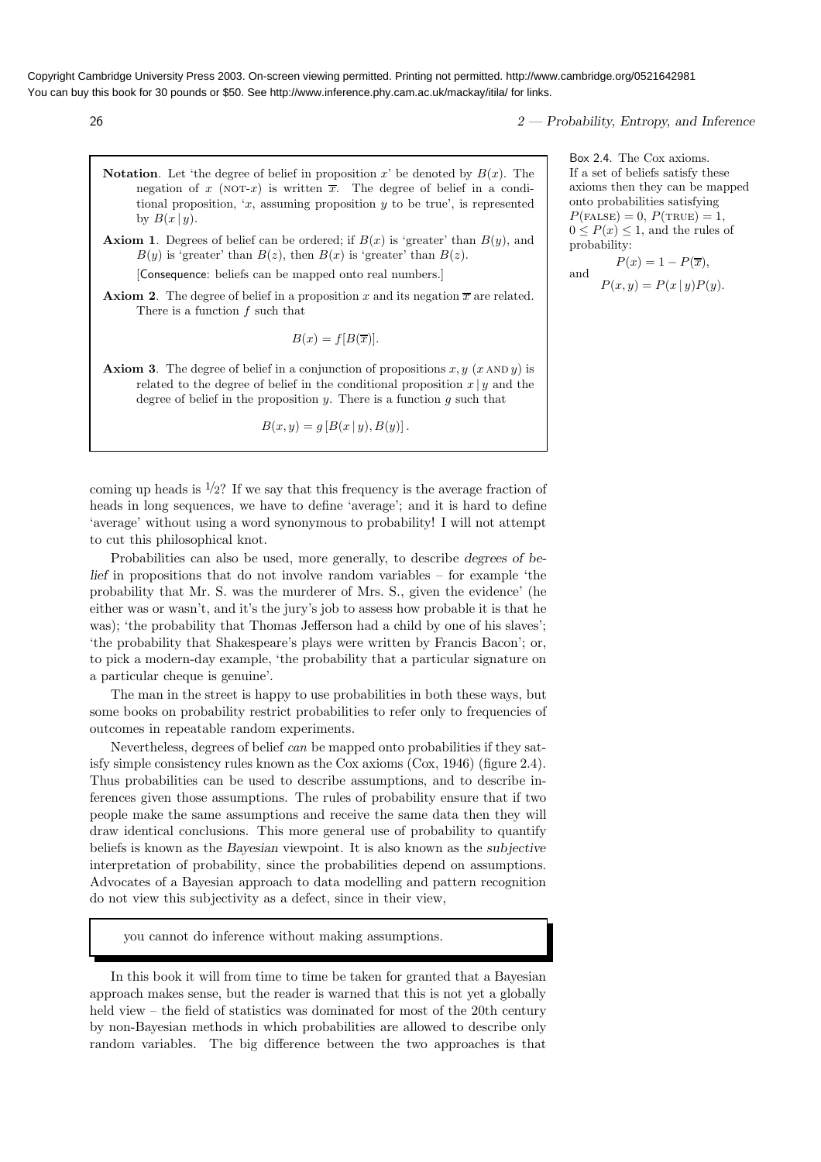**Notation**. Let 'the degree of belief in proposition x' be denoted by  $B(x)$ . The negation of x (NOT-x) is written  $\overline{x}$ . The degree of belief in a conditional proposition,  $x$ , assuming proposition  $y$  to be true', is represented by  $B(x | y)$ .

**Axiom 1.** Degrees of belief can be ordered; if  $B(x)$  is 'greater' than  $B(y)$ , and  $B(y)$  is 'greater' than  $B(z)$ , then  $B(x)$  is 'greater' than  $B(z)$ .

[Consequence: beliefs can be mapped onto real numbers.]

**Axiom 2**. The degree of belief in a proposition x and its negation  $\overline{x}$  are related. There is a function  $f$  such that

$$
B(x) = f[B(\overline{x})].
$$

**Axiom 3.** The degree of belief in a conjunction of propositions  $x, y$  ( $x$  AND  $y$ ) is related to the degree of belief in the conditional proposition  $x | y$  and the degree of belief in the proposition  $y$ . There is a function  $q$  such that

$$
B(x, y) = g [B(x | y), B(y)].
$$

coming up heads is  $\frac{1}{2}$ ? If we say that this frequency is the average fraction of heads in long sequences, we have to define 'average'; and it is hard to define 'average' without using a word synonymous to probability! I will not attempt to cut this philosophical knot.

Probabilities can also be used, more generally, to describe degrees of belief in propositions that do not involve random variables – for example 'the probability that Mr. S. was the murderer of Mrs. S., given the evidence' (he either was or wasn't, and it's the jury's job to assess how probable it is that he was); 'the probability that Thomas Jefferson had a child by one of his slaves'; 'the probability that Shakespeare's plays were written by Francis Bacon'; or, to pick a modern-day example, 'the probability that a particular signature on a particular cheque is genuine'.

The man in the street is happy to use probabilities in both these ways, but some books on probability restrict probabilities to refer only to frequencies of outcomes in repeatable random experiments.

Nevertheless, degrees of belief can be mapped onto probabilities if they satisfy simple consistency rules known as the Cox axioms (Cox, 1946) (figure 2.4). Thus probabilities can be used to describe assumptions, and to describe inferences given those assumptions. The rules of probability ensure that if two people make the same assumptions and receive the same data then they will draw identical conclusions. This more general use of probability to quantify beliefs is known as the Bayesian viewpoint. It is also known as the subjective interpretation of probability, since the probabilities depend on assumptions. Advocates of a Bayesian approach to data modelling and pattern recognition do not view this subjectivity as a defect, since in their view,

you cannot do inference without making assumptions.

In this book it will from time to time be taken for granted that a Bayesian approach makes sense, but the reader is warned that this is not yet a globally held view – the field of statistics was dominated for most of the 20th century by non-Bayesian methods in which probabilities are allowed to describe only random variables. The big difference between the two approaches is that

26 2 — Probability, Entropy, and Inference

Box 2.4. The Cox axioms. If a set of beliefs satisfy these axioms then they can be mapped onto probabilities satisfying  $P(\text{FALSE}) = 0, P(\text{TRUE}) = 1,$  $0 \leq P(x) \leq 1$ , and the rules of probability:  $P(x) = 1 - P(\overline{x}),$ and

$$
P(x, y) = P(x | y)P(y).
$$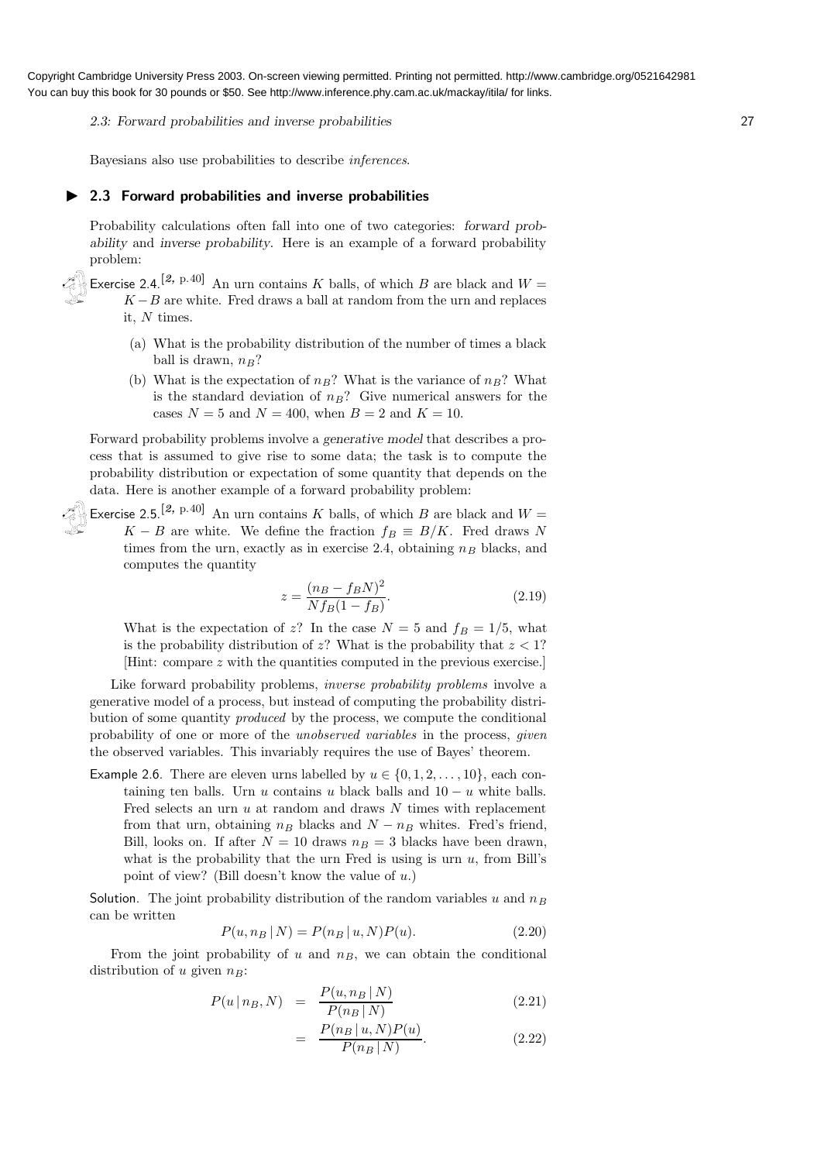2.3: Forward probabilities and inverse probabilities 27

Bayesians also use probabilities to describe inferences.

#### ▶ 2.3 Forward probabilities and inverse probabilities

Probability calculations often fall into one of two categories: forward probability and inverse probability. Here is an example of a forward probability problem:

Exercise 2.4.<sup>[2, p.40]</sup> An urn contains K balls, of which B are black and  $W =$  $K - B$  are white. Fred draws a ball at random from the urn and replaces it, N times.

- (a) What is the probability distribution of the number of times a black ball is drawn,  $n_B$ ?
- (b) What is the expectation of  $n_B$ ? What is the variance of  $n_B$ ? What is the standard deviation of  $n_B$ ? Give numerical answers for the cases  $N = 5$  and  $N = 400$ , when  $B = 2$  and  $K = 10$ .

Forward probability problems involve a generative model that describes a process that is assumed to give rise to some data; the task is to compute the probability distribution or expectation of some quantity that depends on the data. Here is another example of a forward probability problem:

Exercise 2.5.<sup>[2, p.40]</sup> An urn contains K balls, of which B are black and  $W =$  $K - B$  are white. We define the fraction  $f_B \equiv B/K$ . Fred draws N times from the urn, exactly as in exercise 2.4, obtaining  $n_B$  blacks, and computes the quantity

$$
z = \frac{(n_B - f_B N)^2}{N f_B (1 - f_B)}.
$$
\n(2.19)

What is the expectation of z? In the case  $N = 5$  and  $f_B = 1/5$ , what is the probability distribution of z? What is the probability that  $z < 1$ ? [Hint: compare z with the quantities computed in the previous exercise.]

Like forward probability problems, inverse probability problems involve a generative model of a process, but instead of computing the probability distribution of some quantity produced by the process, we compute the conditional probability of one or more of the unobserved variables in the process, given the observed variables. This invariably requires the use of Bayes' theorem.

Example 2.6. There are eleven urns labelled by  $u \in \{0, 1, 2, \ldots, 10\}$ , each containing ten balls. Urn u contains u black balls and  $10 - u$  white balls. Fred selects an urn  $u$  at random and draws  $N$  times with replacement from that urn, obtaining  $n_B$  blacks and  $N - n_B$  whites. Fred's friend, Bill, looks on. If after  $N = 10$  draws  $n_B = 3$  blacks have been drawn, what is the probability that the urn Fred is using is urn  $u$ , from Bill's point of view? (Bill doesn't know the value of  $u$ .)

Solution. The joint probability distribution of the random variables u and  $n_B$ can be written

$$
P(u, n_B | N) = P(n_B | u, N)P(u).
$$
\n(2.20)

From the joint probability of u and  $n_B$ , we can obtain the conditional distribution of u given  $n_B$ :

$$
P(u | n_B, N) = \frac{P(u, n_B | N)}{P(n_B | N)}
$$
\n(2.21)

$$
= \frac{P(n_B | u, N)P(u)}{P(n_B | N)}.
$$
\n(2.22)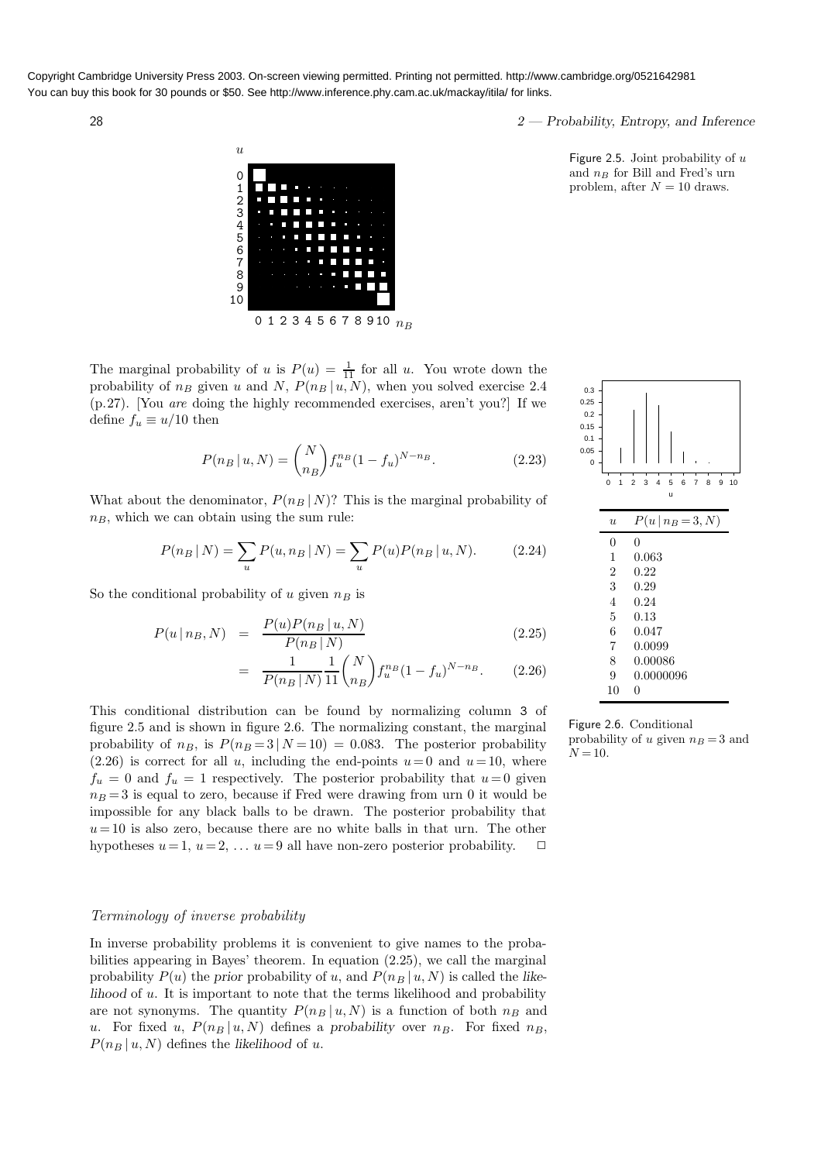28 2 — Probability, Entropy, and Inference



The marginal probability of u is  $P(u) = \frac{1}{11}$  for all u. You wrote down the probability of  $n_B$  given u and N,  $P(n_B | u, N)$ , when you solved exercise 2.4 (p.27). [You are doing the highly recommended exercises, aren't you?] If we define  $f_u \equiv u/10$  then

$$
P(n_B | u, N) = {N \choose n_B} f_u^{n_B} (1 - f_u)^{N - n_B}.
$$
 (2.23)

What about the denominator,  $P(n_B | N)$ ? This is the marginal probability of  $n_B$ , which we can obtain using the sum rule:

$$
P(n_B | N) = \sum_{u} P(u, n_B | N) = \sum_{u} P(u) P(n_B | u, N).
$$
 (2.24)

So the conditional probability of u given  $n_B$  is

$$
P(u|n_B, N) = \frac{P(u)P(n_B|u, N)}{P(n_B|N)} \tag{2.25}
$$

$$
= \frac{1}{P(n_B|N)} \frac{1}{11} {N \choose n_B} f_u^{n_B} (1 - f_u)^{N - n_B}.
$$
 (2.26)

This conditional distribution can be found by normalizing column 3 of figure 2.5 and is shown in figure 2.6. The normalizing constant, the marginal probability of  $n_B$ , is  $P(n_B = 3 | N = 10) = 0.083$ . The posterior probability (2.26) is correct for all u, including the end-points  $u=0$  and  $u=10$ , where  $f_u = 0$  and  $f_u = 1$  respectively. The posterior probability that  $u=0$  given  $n_B = 3$  is equal to zero, because if Fred were drawing from urn 0 it would be impossible for any black balls to be drawn. The posterior probability that  $u=10$  is also zero, because there are no white balls in that urn. The other hypotheses  $u=1$ ,  $u=2, \ldots u=9$  all have non-zero posterior probability.  $\Box$ 

# Terminology of inverse probability

In inverse probability problems it is convenient to give names to the probabilities appearing in Bayes' theorem. In equation (2.25), we call the marginal probability  $P(u)$  the prior probability of u, and  $P(n_B | u, N)$  is called the likelihood of u. It is important to note that the terms likelihood and probability are not synonyms. The quantity  $P(n_B | u, N)$  is a function of both  $n_B$  and u. For fixed u,  $P(n_B | u, N)$  defines a probability over  $n_B$ . For fixed  $n_B$ ,  $P(n_B | u, N)$  defines the likelihood of u.

 $\overline{0}$ 0.05  $0.1$ 0.15 0.2 0.25  $0.3$ 0 1 2 3 4 5 6 7 8 9 10 u  $u \quad P(u \, | \, n_B = 3, N)$ 0 0 1 0.063 2 0.22 3 0.29 4 0.24 5 0.13 6 0.047 7 0.0099 8 0.00086 9 0.0000096 10 0

Figure 2.5. Joint probability of  $u$ and  $n_B$  for Bill and Fred's urn problem, after  $N = 10$  draws.

Figure 2.6. Conditional probability of u given  $n_B = 3$  and  $N = 10$ .

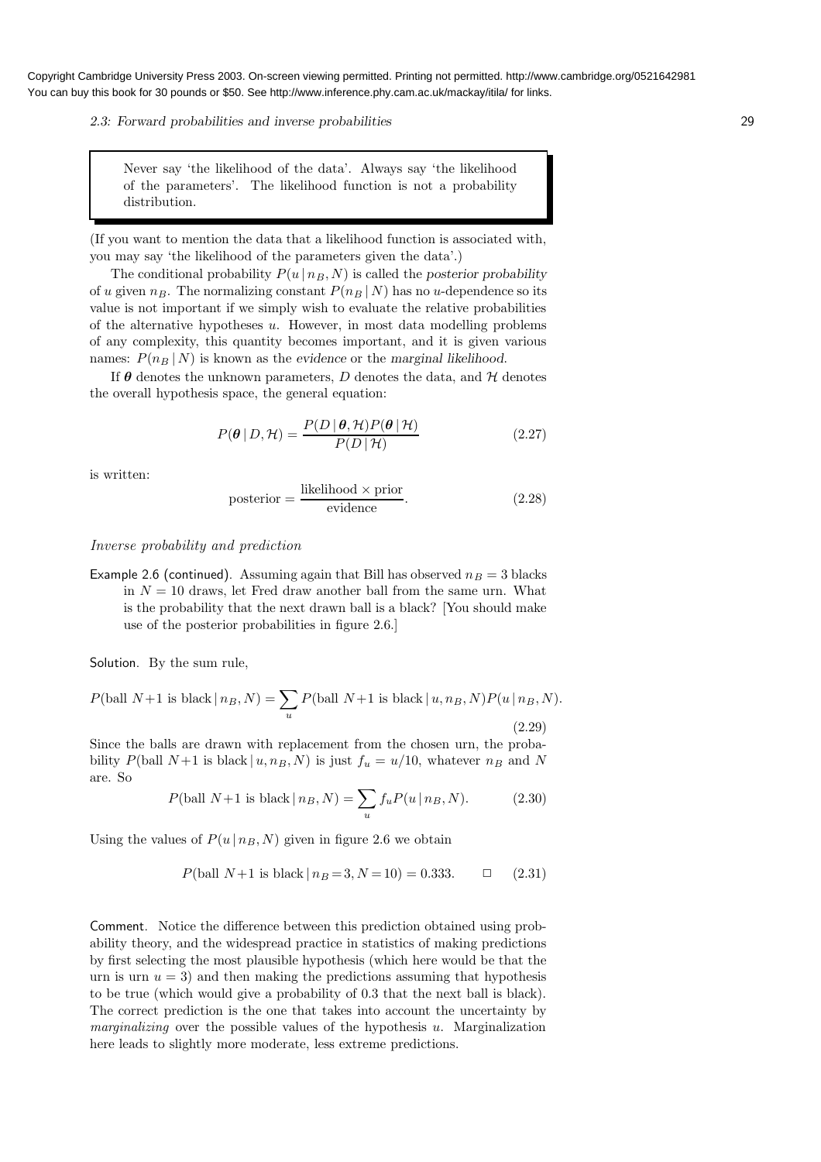2.3: Forward probabilities and inverse probabilities 29

(If you want to mention the data that a likelihood function is associated with, you may say 'the likelihood of the parameters given the data'.)

The conditional probability  $P(u | n_B, N)$  is called the posterior probability of u given  $n_B$ . The normalizing constant  $P(n_B | N)$  has no u-dependence so its value is not important if we simply wish to evaluate the relative probabilities of the alternative hypotheses  $u$ . However, in most data modelling problems of any complexity, this quantity becomes important, and it is given various names:  $P(n_B | N)$  is known as the evidence or the marginal likelihood.

If  $\theta$  denotes the unknown parameters, D denotes the data, and  $\mathcal H$  denotes the overall hypothesis space, the general equation:

$$
P(\theta | D, \mathcal{H}) = \frac{P(D | \theta, \mathcal{H}) P(\theta | \mathcal{H})}{P(D | \mathcal{H})}
$$
(2.27)

is written:

$$
posterior = \frac{likelihood \times prior}{evidence}.
$$
\n(2.28)

#### Inverse probability and prediction

Example 2.6 (continued). Assuming again that Bill has observed  $n_B = 3$  blacks in  $N = 10$  draws, let Fred draw another ball from the same urn. What is the probability that the next drawn ball is a black? [You should make use of the posterior probabilities in figure 2.6.]

Solution. By the sum rule,

$$
P(\text{ball } N+1 \text{ is black} \mid n_B, N) = \sum_{u} P(\text{ball } N+1 \text{ is black} \mid u, n_B, N) P(u \mid n_B, N).
$$
\n(2.29)

Since the balls are drawn with replacement from the chosen urn, the probability P(ball N+1 is black  $(u, n_B, N)$  is just  $f_u = u/10$ , whatever  $n_B$  and N are. So

$$
P(\text{ball } N+1 \text{ is black } | n_B, N) = \sum_{u} f_u P(u | n_B, N). \tag{2.30}
$$

Using the values of  $P(u | n_B, N)$  given in figure 2.6 we obtain

$$
P(\text{ball } N+1 \text{ is black} \mid n_B=3, N=10) = 0.333. \Box (2.31)
$$

Comment. Notice the difference between this prediction obtained using probability theory, and the widespread practice in statistics of making predictions by first selecting the most plausible hypothesis (which here would be that the urn is urn  $u = 3$ ) and then making the predictions assuming that hypothesis to be true (which would give a probability of 0.3 that the next ball is black). The correct prediction is the one that takes into account the uncertainty by marginalizing over the possible values of the hypothesis  $u$ . Marginalization here leads to slightly more moderate, less extreme predictions.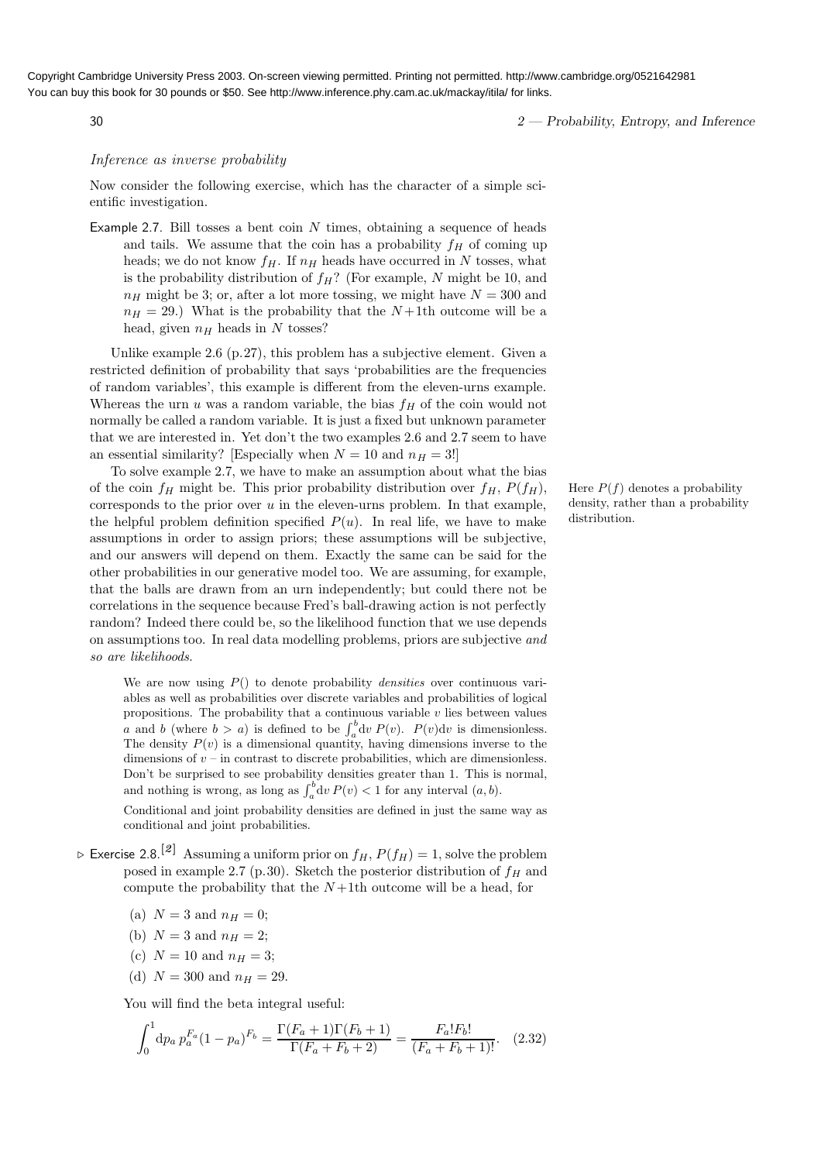30 2 — Probability, Entropy, and Inference

# Inference as inverse probability

Now consider the following exercise, which has the character of a simple scientific investigation.

Example 2.7. Bill tosses a bent coin  $N$  times, obtaining a sequence of heads and tails. We assume that the coin has a probability  $f_H$  of coming up heads; we do not know  $f_H$ . If  $n_H$  heads have occurred in N tosses, what is the probability distribution of  $f_H$ ? (For example, N might be 10, and  $n_H$  might be 3; or, after a lot more tossing, we might have  $N = 300$  and  $n_H = 29.$ ) What is the probability that the  $N+1$ th outcome will be a head, given  $n_H$  heads in N tosses?

Unlike example 2.6 (p.27), this problem has a subjective element. Given a restricted definition of probability that says 'probabilities are the frequencies of random variables', this example is different from the eleven-urns example. Whereas the urn u was a random variable, the bias  $f_H$  of the coin would not normally be called a random variable. It is just a fixed but unknown parameter that we are interested in. Yet don't the two examples 2.6 and 2.7 seem to have an essential similarity? [Especially when  $N = 10$  and  $n_H = 3!$ ]

To solve example 2.7, we have to make an assumption about what the bias of the coin  $f_H$  might be. This prior probability distribution over  $f_H$ ,  $P(f_H)$ , Here  $P(f)$  denotes a probability corresponds to the prior over  $u$  in the eleven-urns problem. In that example, the helpful problem definition specified  $P(u)$ . In real life, we have to make assumptions in order to assign priors; these assumptions will be subjective, and our answers will depend on them. Exactly the same can be said for the other probabilities in our generative model too. We are assuming, for example, that the balls are drawn from an urn independently; but could there not be correlations in the sequence because Fred's ball-drawing action is not perfectly random? Indeed there could be, so the likelihood function that we use depends on assumptions too. In real data modelling problems, priors are subjective and so are likelihoods.

We are now using  $P()$  to denote probability *densities* over continuous variables as well as probabilities over discrete variables and probabilities of logical propositions. The probability that a continuous variable  $v$  lies between values a and b (where  $b > a$ ) is defined to be  $\int_a^b dv P(v)$ .  $P(v)dv$  is dimensionless. The density  $P(v)$  is a dimensional quantity, having dimensions inverse to the dimensions of  $v$  – in contrast to discrete probabilities, which are dimensionless. Don't be surprised to see probability densities greater than 1. This is normal, and nothing is wrong, as long as  $\int_a^b dv P(v) < 1$  for any interval  $(a, b)$ .

Conditional and joint probability densities are defined in just the same way as conditional and joint probabilities.

- $\triangleright$  Exercise 2.8.<sup>[2]</sup> Assuming a uniform prior on  $f_H$ ,  $P(f_H) = 1$ , solve the problem posed in example 2.7 (p.30). Sketch the posterior distribution of  $f_H$  and compute the probability that the  $N+1$ th outcome will be a head, for
	- (a)  $N = 3$  and  $n_H = 0$ ;
	- (b)  $N = 3$  and  $n_H = 2$ ;
	- (c)  $N = 10$  and  $n_H = 3$ ;
	- (d)  $N = 300$  and  $n_H = 29$ .

You will find the beta integral useful:

$$
\int_0^1 dp_a p_a^{F_a} (1 - p_a)^{F_b} = \frac{\Gamma(F_a + 1)\Gamma(F_b + 1)}{\Gamma(F_a + F_b + 2)} = \frac{F_a! F_b!}{(F_a + F_b + 1)!}.
$$
 (2.32)

density, rather than a probability distribution.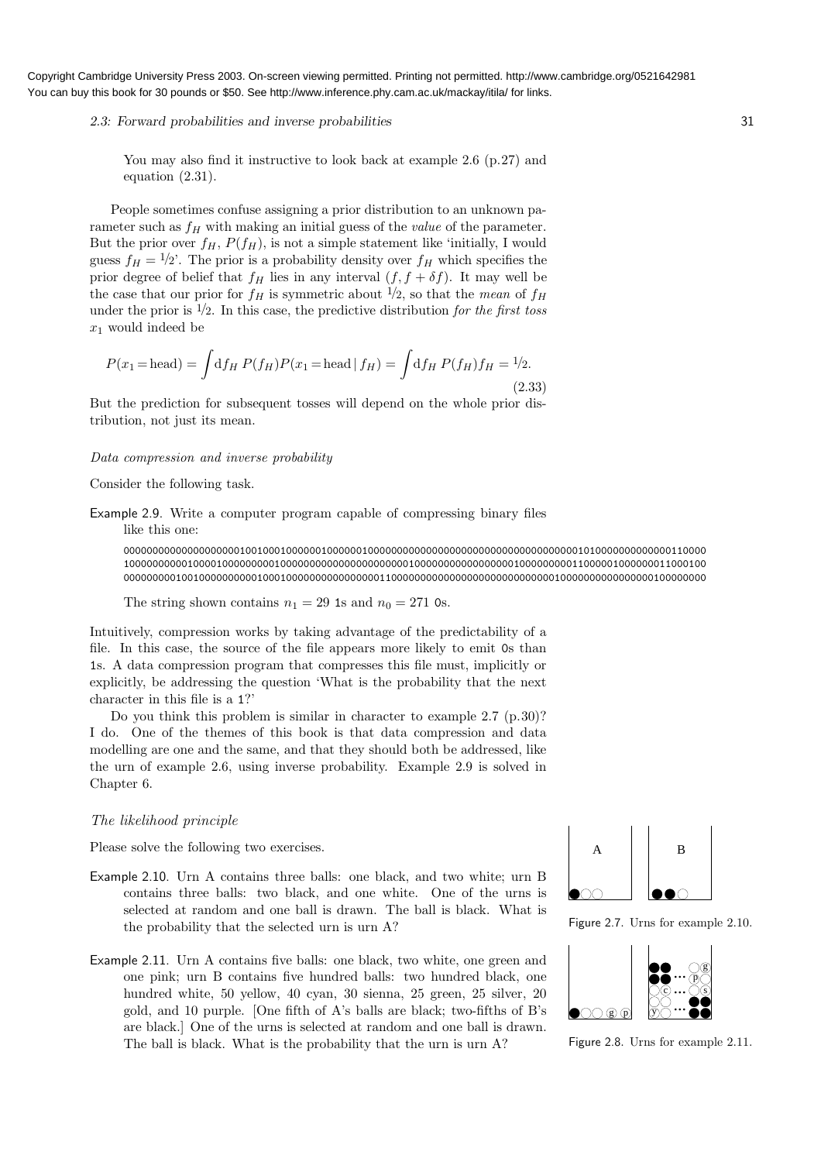2.3: Forward probabilities and inverse probabilities 31

You may also find it instructive to look back at example 2.6 (p.27) and equation (2.31).

People sometimes confuse assigning a prior distribution to an unknown parameter such as  $f_H$  with making an initial guess of the *value* of the parameter. But the prior over  $f_H$ ,  $P(f_H)$ , is not a simple statement like 'initially, I would guess  $f_H = \frac{1}{2}$ . The prior is a probability density over  $f_H$  which specifies the prior degree of belief that  $f_H$  lies in any interval  $(f, f + \delta f)$ . It may well be the case that our prior for  $f_H$  is symmetric about  $\frac{1}{2}$ , so that the mean of  $f_H$ under the prior is  $\frac{1}{2}$ . In this case, the predictive distribution for the first toss  $x_1$  would indeed be

$$
P(x_1 = head) = \int df_H P(f_H) P(x_1 = head | f_H) = \int df_H P(f_H) f_H = \frac{1}{2}.
$$
\n(2.33)

But the prediction for subsequent tosses will depend on the whole prior distribution, not just its mean.

#### Data compression and inverse probability

Consider the following task.

Example 2.9. Write a computer program capable of compressing binary files like this one:

0000000000000000000010010001000000100000010000000000000000000000000000000000001010000000000000110000 1000000000010000100000000010000000000000000000000100000000000000000100000000011000001000000011000100 0000000001001000000000010001000000000000000011000000000000000000000000000010000000000000000100000000

The string shown contains  $n_1 = 29$  1s and  $n_0 = 271$  0s.

Intuitively, compression works by taking advantage of the predictability of a file. In this case, the source of the file appears more likely to emit 0s than 1s. A data compression program that compresses this file must, implicitly or explicitly, be addressing the question 'What is the probability that the next character in this file is a 1?'

Do you think this problem is similar in character to example 2.7 (p.30)? I do. One of the themes of this book is that data compression and data modelling are one and the same, and that they should both be addressed, like the urn of example 2.6, using inverse probability. Example 2.9 is solved in Chapter 6.

### The likelihood principle

Please solve the following two exercises.

- Example 2.10. Urn A contains three balls: one black, and two white; urn B contains three balls: two black, and one white. One of the urns is selected at random and one ball is drawn. The ball is black. What is the probability that the selected urn is urn A?
- Example 2.11. Urn A contains five balls: one black, two white, one green and one pink; urn B contains five hundred balls: two hundred black, one hundred white, 50 yellow, 40 cyan, 30 sienna, 25 green, 25 silver, 20 gold, and 10 purple. [One fifth of A's balls are black; two-fifths of B's are black.] One of the urns is selected at random and one ball is drawn. The ball is black. What is the probability that the urn is urn A?



Figure 2.7. Urns for example 2.10.



Figure 2.8. Urns for example 2.11.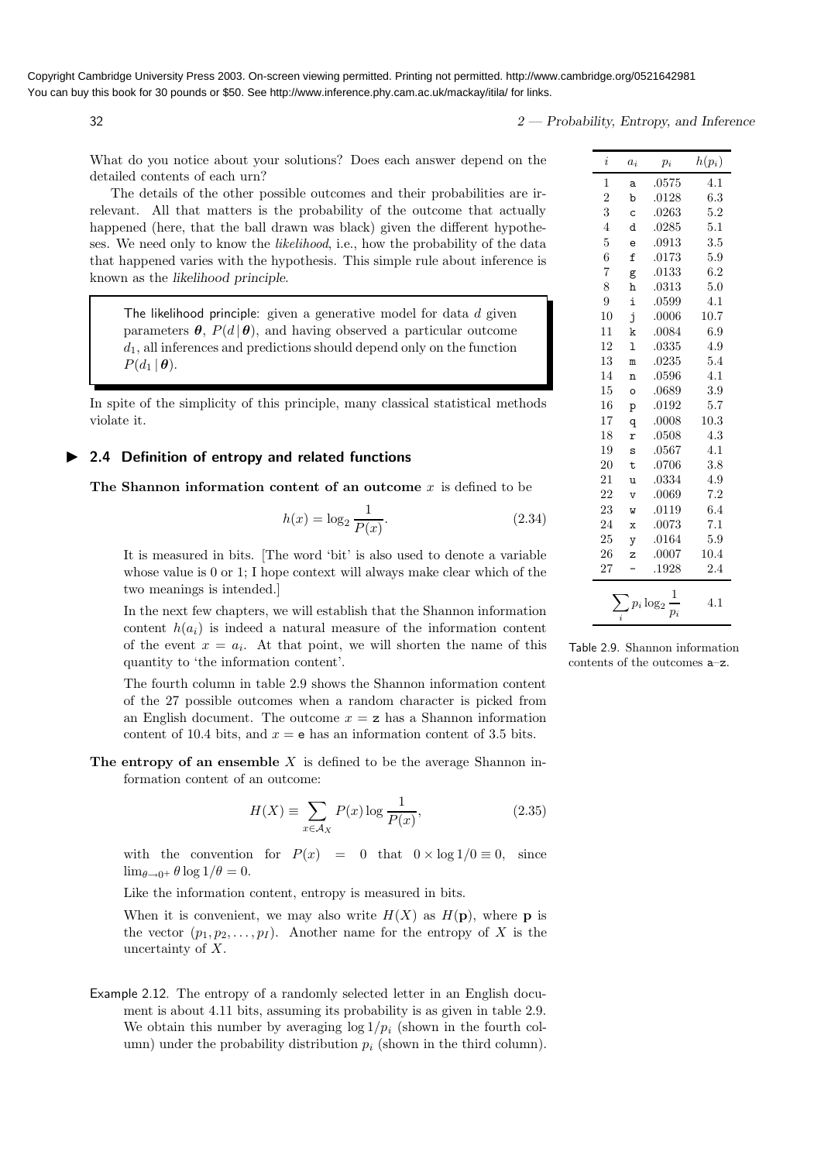32 2 Probability, Entropy, and Inference

What do you notice about your solutions? Does each answer depend on the detailed contents of each urn?

The details of the other possible outcomes and their probabilities are irrelevant. All that matters is the probability of the outcome that actually happened (here, that the ball drawn was black) given the different hypotheses. We need only to know the likelihood, i.e., how the probability of the data that happened varies with the hypothesis. This simple rule about inference is known as the likelihood principle.

The likelihood principle: given a generative model for data  $d$  given parameters  $\boldsymbol{\theta}$ ,  $P(d | \boldsymbol{\theta})$ , and having observed a particular outcome  $d_1$ , all inferences and predictions should depend only on the function  $P(d_1 | \boldsymbol{\theta}).$ 

In spite of the simplicity of this principle, many classical statistical methods violate it.

## ▶ 2.4 Definition of entropy and related functions

The Shannon information content of an outcome  $x$  is defined to be

$$
h(x) = \log_2 \frac{1}{P(x)}.\t(2.34)
$$

It is measured in bits. [The word 'bit' is also used to denote a variable whose value is 0 or 1; I hope context will always make clear which of the two meanings is intended.]

In the next few chapters, we will establish that the Shannon information content  $h(a_i)$  is indeed a natural measure of the information content of the event  $x = a_i$ . At that point, we will shorten the name of this quantity to 'the information content'.

The fourth column in table 2.9 shows the Shannon information content of the 27 possible outcomes when a random character is picked from an English document. The outcome  $x = z$  has a Shannon information content of 10.4 bits, and  $x = e$  has an information content of 3.5 bits.

The entropy of an ensemble  $X$  is defined to be the average Shannon information content of an outcome:

$$
H(X) \equiv \sum_{x \in \mathcal{A}_X} P(x) \log \frac{1}{P(x)},\tag{2.35}
$$

with the convention for  $P(x) = 0$  that  $0 \times \log 1/0 \equiv 0$ , since  $\lim_{\theta \to 0^+} \theta \log 1/\theta = 0.$ 

Like the information content, entropy is measured in bits.

When it is convenient, we may also write  $H(X)$  as  $H(\mathbf{p})$ , where **p** is the vector  $(p_1, p_2, \ldots, p_I)$ . Another name for the entropy of X is the uncertainty of X.

Example 2.12. The entropy of a randomly selected letter in an English document is about 4.11 bits, assuming its probability is as given in table 2.9. We obtain this number by averaging  $\log 1/p_i$  (shown in the fourth column) under the probability distribution  $p_i$  (shown in the third column).

| $\it i$                                      | $a_i$               | $p_i$ | $h(p_i)$ |  |
|----------------------------------------------|---------------------|-------|----------|--|
| $\overline{1}$                               | a                   | .0575 | 4.1      |  |
| $\overline{2}$                               | b                   | .0128 | 6.3      |  |
| 3                                            | C                   | .0263 | 5.2      |  |
| $\overline{4}$                               | d                   | .0285 | 5.1      |  |
| $\overline{5}$                               | e                   | .0913 | 3.5      |  |
| 6                                            | f                   | .0173 | 5.9      |  |
| $\overline{7}$                               | g                   | .0133 | 6.2      |  |
| 8                                            | h                   | .0313 | 5.0      |  |
| 9                                            | i                   | .0599 | 4.1      |  |
| 10                                           | j                   | .0006 | 10.7     |  |
| 11                                           | k                   | .0084 | 6.9      |  |
| 12                                           | ı                   | .0335 | 4.9      |  |
| 13                                           | m                   | .0235 | 5.4      |  |
| 14                                           | n                   | .0596 | 4.1      |  |
| 15                                           | $\circ$             | .0689 | 3.9      |  |
| 16                                           | p                   | .0192 | 5.7      |  |
| 17                                           | q                   | .0008 | 10.3     |  |
| 18                                           | r                   | .0508 | 4.3      |  |
| 19                                           | S                   | .0567 | 4.1      |  |
| 20                                           | $\ddot{\mathbf{t}}$ | .0706 | 3.8      |  |
| 21                                           | u                   | .0334 | 4.9      |  |
| 22                                           | v                   | .0069 | 7.2      |  |
| 23                                           | W                   | .0119 | 6.4      |  |
| 24                                           | X                   | .0073 | 7.1      |  |
| 25                                           | у                   | .0164 | 5.9      |  |
| 26                                           | z                   | .0007 | 10.4     |  |
| 27                                           |                     | .1928 | 2.4      |  |
| 1<br>4.1<br>$p_i \log_2$<br>$p_i$<br>$\it i$ |                     |       |          |  |

Table 2.9. Shannon information contents of the outcomes a–z.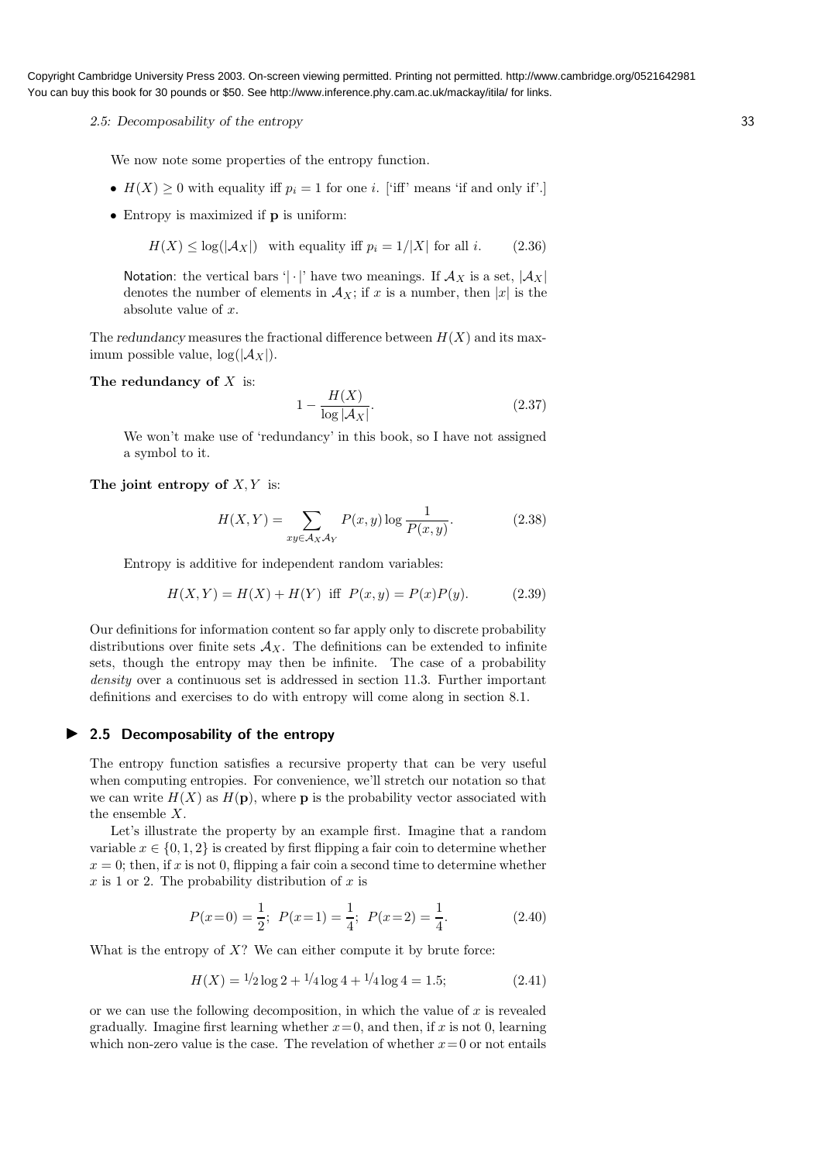2.5: Decomposability of the entropy 33

We now note some properties of the entropy function.

- $H(X) \geq 0$  with equality iff  $p_i = 1$  for one *i*. ['iff' means 'if and only if'.]
- Entropy is maximized if **p** is uniform:

$$
H(X) \le \log(|\mathcal{A}_X|) \quad \text{with equality iff } p_i = 1/|X| \text{ for all } i. \tag{2.36}
$$

Notation: the vertical bars '| · |' have two meanings. If  $\mathcal{A}_X$  is a set,  $|\mathcal{A}_X|$ denotes the number of elements in  $\mathcal{A}_X$ ; if x is a number, then |x| is the absolute value of x.

The redundancy measures the fractional difference between  $H(X)$  and its maximum possible value,  $log(|A_X|)$ .

The redundancy of  $X$  is:

$$
1 - \frac{H(X)}{\log |\mathcal{A}_X|}.\tag{2.37}
$$

We won't make use of 'redundancy' in this book, so I have not assigned a symbol to it.

The joint entropy of  $X, Y$  is:

$$
H(X,Y) = \sum_{xy \in \mathcal{A}_X \mathcal{A}_Y} P(x,y) \log \frac{1}{P(x,y)}.\tag{2.38}
$$

Entropy is additive for independent random variables:

$$
H(X,Y) = H(X) + H(Y) \text{ iff } P(x,y) = P(x)P(y). \tag{2.39}
$$

Our definitions for information content so far apply only to discrete probability distributions over finite sets  $\mathcal{A}_X$ . The definitions can be extended to infinite sets, though the entropy may then be infinite. The case of a probability density over a continuous set is addressed in section 11.3. Further important definitions and exercises to do with entropy will come along in section 8.1.

#### ▶ 2.5 Decomposability of the entropy

The entropy function satisfies a recursive property that can be very useful when computing entropies. For convenience, we'll stretch our notation so that we can write  $H(X)$  as  $H(\mathbf{p})$ , where **p** is the probability vector associated with the ensemble X.

Let's illustrate the property by an example first. Imagine that a random variable  $x \in \{0, 1, 2\}$  is created by first flipping a fair coin to determine whether  $x = 0$ ; then, if x is not 0, flipping a fair coin a second time to determine whether  $x$  is 1 or 2. The probability distribution of  $x$  is

$$
P(x=0) = \frac{1}{2}; \ P(x=1) = \frac{1}{4}; \ P(x=2) = \frac{1}{4}.
$$
 (2.40)

What is the entropy of  $X$ ? We can either compute it by brute force:

$$
H(X) = \frac{1}{2}\log 2 + \frac{1}{4}\log 4 + \frac{1}{4}\log 4 = 1.5;
$$
 (2.41)

or we can use the following decomposition, in which the value of  $x$  is revealed gradually. Imagine first learning whether  $x=0$ , and then, if x is not 0, learning which non-zero value is the case. The revelation of whether  $x=0$  or not entails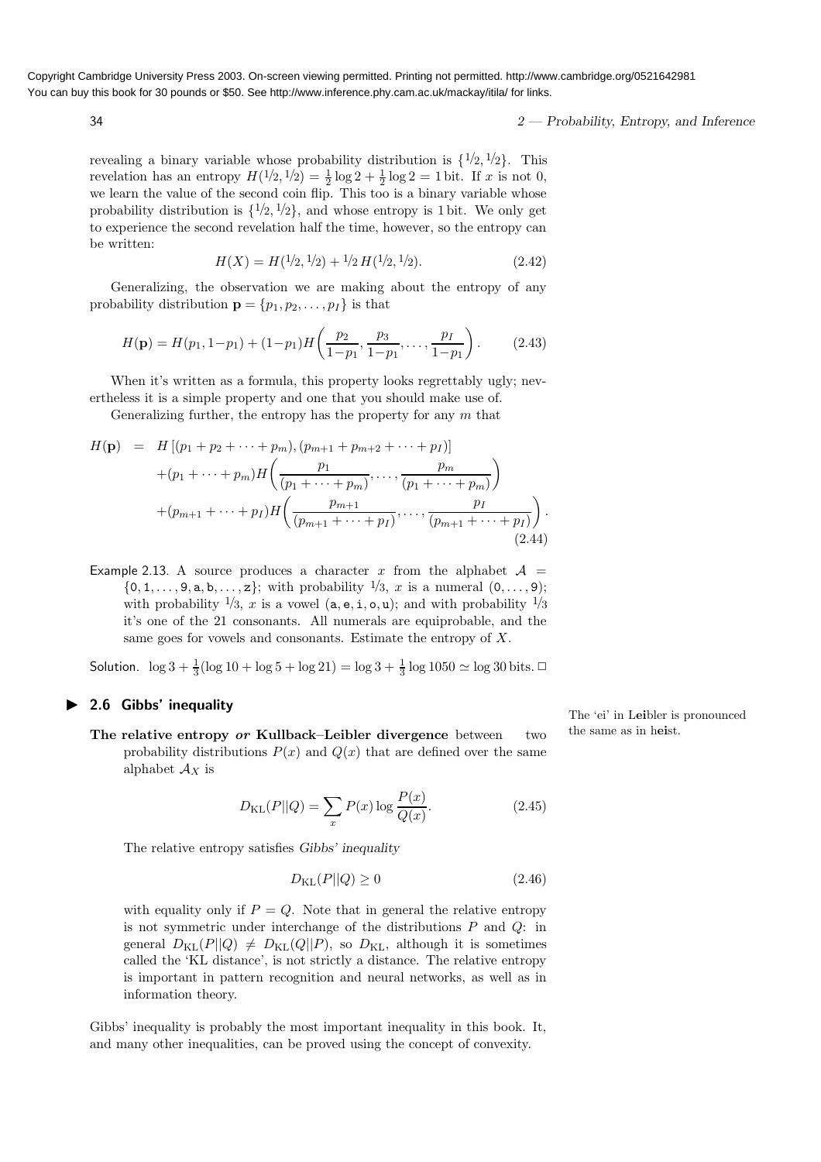34 2 — Probability, Entropy, and Inference

revealing a binary variable whose probability distribution is  $\{1/2, 1/2\}$ . This revelation has an entropy  $H(1/2, 1/2) = \frac{1}{2} \log 2 + \frac{1}{2} \log 2 = 1$  bit. If x is not 0, we learn the value of the second coin flip. This too is a binary variable whose probability distribution is  $\{1/2, 1/2\}$ , and whose entropy is 1 bit. We only get to experience the second revelation half the time, however, so the entropy can be written:

$$
H(X) = H(1/2, 1/2) + 1/2 H(1/2, 1/2).
$$
 (2.42)

Generalizing, the observation we are making about the entropy of any probability distribution  $\mathbf{p} = \{p_1, p_2, \ldots, p_I\}$  is that

$$
H(\mathbf{p}) = H(p_1, 1-p_1) + (1-p_1)H\left(\frac{p_2}{1-p_1}, \frac{p_3}{1-p_1}, \dots, \frac{p_I}{1-p_1}\right). \tag{2.43}
$$

When it's written as a formula, this property looks regrettably ugly; nevertheless it is a simple property and one that you should make use of.

Generalizing further, the entropy has the property for any  $m$  that

$$
H(\mathbf{p}) = H [(p_1 + p_2 + \dots + p_m), (p_{m+1} + p_{m+2} + \dots + p_I)]
$$
  
+ 
$$
(p_1 + \dots + p_m)H\left(\frac{p_1}{(p_1 + \dots + p_m)}, \dots, \frac{p_m}{(p_1 + \dots + p_m)}\right)
$$
  
+ 
$$
(p_{m+1} + \dots + p_I)H\left(\frac{p_{m+1}}{(p_{m+1} + \dots + p_I)}, \dots, \frac{p_I}{(p_{m+1} + \dots + p_I)}\right).
$$
  
(2.44)

Example 2.13. A source produces a character x from the alphabet  $A =$  $\{0, 1, \ldots, 9, a, b, \ldots, z\};$  with probability  $\frac{1}{3}$ , x is a numeral  $(0, \ldots, 9);$ with probability  $\frac{1}{3}$ , x is a vowel (a, e, i, o, u); and with probability  $\frac{1}{3}$ it's one of the 21 consonants. All numerals are equiprobable, and the same goes for vowels and consonants. Estimate the entropy of X.

Solution.  $\log 3 + \frac{1}{3} (\log 10 + \log 5 + \log 21) = \log 3 + \frac{1}{3} \log 1050 \simeq \log 30$  bits.  $\Box$ 

# ▶ 2.6 Gibbs' inequality

The relative entropy or Kullback–Leibler divergence between two the same as in heist. probability distributions  $P(x)$  and  $Q(x)$  that are defined over the same alphabet  $\mathcal{A}_X$  is

$$
D_{\text{KL}}(P||Q) = \sum_{x} P(x) \log \frac{P(x)}{Q(x)}.\tag{2.45}
$$

The relative entropy satisfies Gibbs' inequality

$$
D_{\text{KL}}(P||Q) \ge 0\tag{2.46}
$$

with equality only if  $P = Q$ . Note that in general the relative entropy is not symmetric under interchange of the distributions  $P$  and  $Q$ : in general  $D_{\text{KL}}(P||Q) \neq D_{\text{KL}}(Q||P)$ , so  $D_{\text{KL}}$ , although it is sometimes called the 'KL distance', is not strictly a distance. The relative entropy is important in pattern recognition and neural networks, as well as in information theory.

Gibbs' inequality is probably the most important inequality in this book. It, and many other inequalities, can be proved using the concept of convexity.

The 'ei' in Leibler is pronounced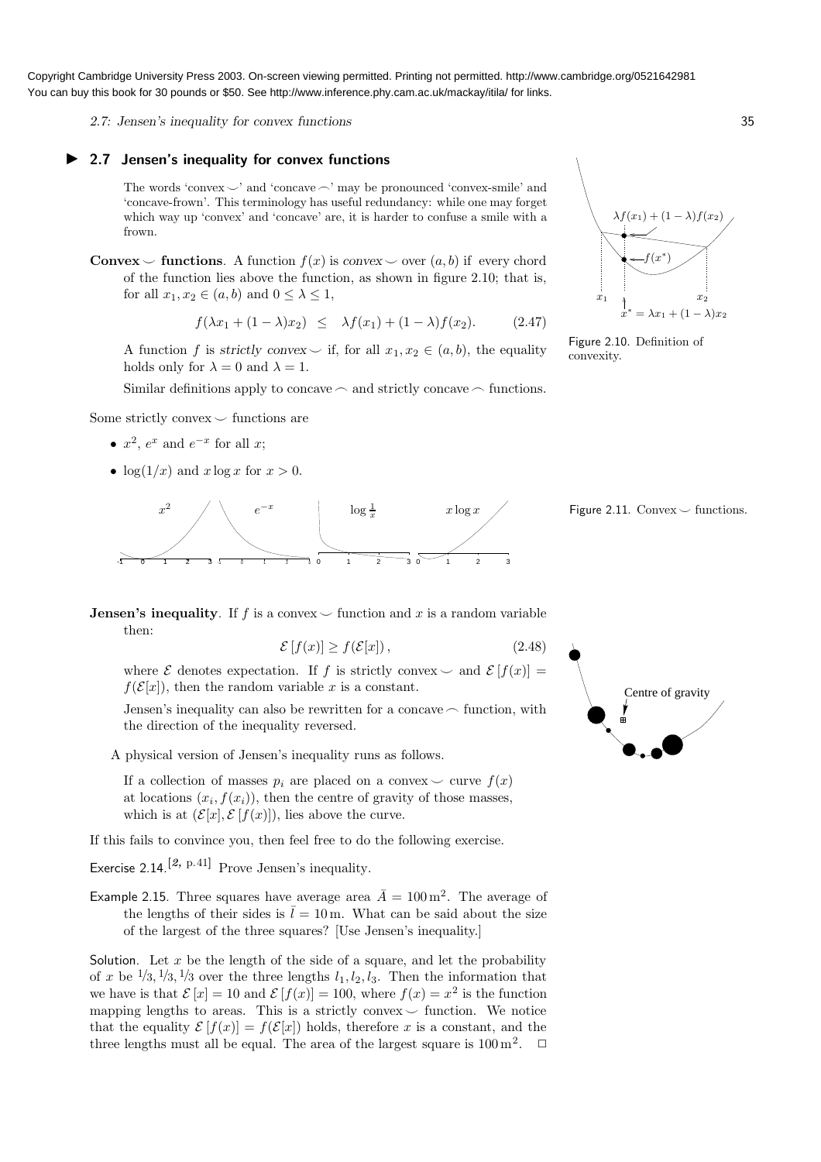2.7: Jensen's inequality for convex functions 35

 2.7 Jensen's inequality for convex functions

The words 'convex  $\sim$ ' and 'concave  $\sim$ ' may be pronounced 'convex-smile' and 'concave-frown'. This terminology has useful redundancy: while one may forget which way up 'convex' and 'concave' are, it is harder to confuse a smile with a frown.

**Convex**  $\smile$  **functions**. A function  $f(x)$  is convex  $\smile$  over  $(a, b)$  if every chord of the function lies above the function, as shown in figure 2.10; that is, for all  $x_1, x_2 \in (a, b)$  and  $0 \leq \lambda \leq 1$ ,

$$
f(\lambda x_1 + (1 - \lambda)x_2) \leq \lambda f(x_1) + (1 - \lambda)f(x_2). \tag{2.47}
$$

A function f is strictly convex  $\smile$  if, for all  $x_1, x_2 \in (a, b)$ , the equality holds only for  $\lambda = 0$  and  $\lambda = 1$ .

Similar definitions apply to concave  $\frown$  and strictly concave  $\frown$  functions.

Some strictly convex  $\smile$  functions are

- $x^2$ ,  $e^x$  and  $e^{-x}$  for all x;
- $\log(1/x)$  and  $x \log x$  for  $x > 0$ .



Figure 2.11. Convex  $\smile$  functions.

**Jensen's inequality**. If f is a convex  $\smile$  function and x is a random variable then:

$$
\mathcal{E}[f(x)] \ge f(\mathcal{E}[x]),\tag{2.48}
$$

where  $\mathcal E$  denotes expectation. If f is strictly convex  $\smile$  and  $\mathcal E$  [f(x)] =  $f(\mathcal{E}[x])$ , then the random variable x is a constant.

Jensen's inequality can also be rewritten for a concave  $\frown$  function, with the direction of the inequality reversed.

A physical version of Jensen's inequality runs as follows.

If a collection of masses  $p_i$  are placed on a convex  $\smile$  curve  $f(x)$ at locations  $(x_i, f(x_i))$ , then the centre of gravity of those masses, which is at  $(\mathcal{E}[x], \mathcal{E}[f(x)])$ , lies above the curve.

If this fails to convince you, then feel free to do the following exercise.

Exercise 2.14.<sup>[2, p.41]</sup> Prove Jensen's inequality.

Example 2.15. Three squares have average area  $\bar{A} = 100 \,\text{m}^2$ . The average of the lengths of their sides is  $\bar{l} = 10$  m. What can be said about the size of the largest of the three squares? [Use Jensen's inequality.]

Solution. Let x be the length of the side of a square, and let the probability of x be  $\frac{1}{3}$ ,  $\frac{1}{3}$ ,  $\frac{1}{3}$  over the three lengths  $l_1, l_2, l_3$ . Then the information that we have is that  $\mathcal{E}[x] = 10$  and  $\mathcal{E}[f(x)] = 100$ , where  $f(x) = x^2$  is the function mapping lengths to areas. This is a strictly convex  $\sim$  function. We notice that the equality  $\mathcal{E}[f(x)] = f(\mathcal{E}[x])$  holds, therefore x is a constant, and the three lengths must all be equal. The area of the largest square is  $100 \,\mathrm{m}^2$ .  $\Box$ 





Figure 2.10. Definition of

convexity.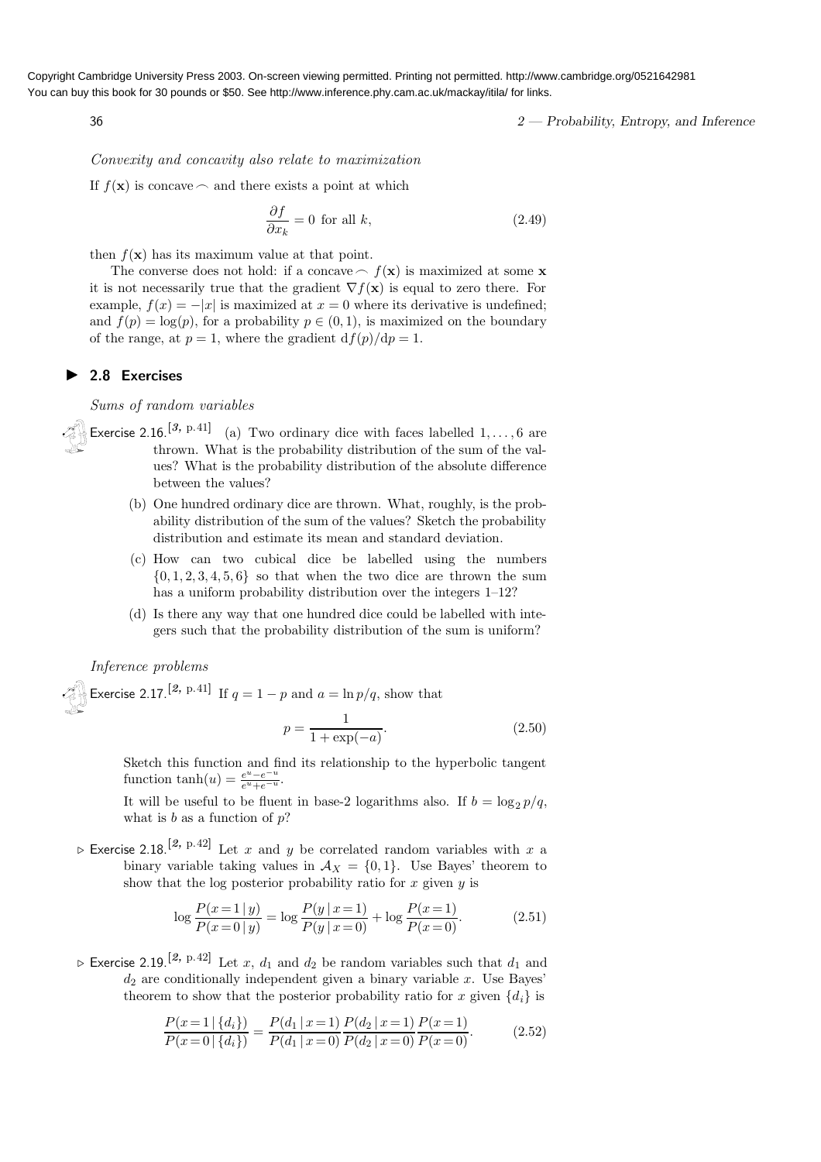36 2 — Probability, Entropy, and Inference

Convexity and concavity also relate to maximization

If  $f(\mathbf{x})$  is concave  $\frown$  and there exists a point at which

$$
\frac{\partial f}{\partial x_k} = 0 \text{ for all } k,
$$
\n(2.49)

then  $f(\mathbf{x})$  has its maximum value at that point.

The converse does not hold: if a concave  $\frown f(\mathbf{x})$  is maximized at some x it is not necessarily true that the gradient  $\nabla f(\mathbf{x})$  is equal to zero there. For example,  $f(x) = -|x|$  is maximized at  $x = 0$  where its derivative is undefined; and  $f(p) = \log(p)$ , for a probability  $p \in (0, 1)$ , is maximized on the boundary of the range, at  $p = 1$ , where the gradient  $df(p)/dp = 1$ .

### ▶ 2.8 Exercises

Sums of random variables

- Exercise 2.16.<sup>[3, p.41]</sup> (a) Two ordinary dice with faces labelled  $1,\ldots,6$  are thrown. What is the probability distribution of the sum of the values? What is the probability distribution of the absolute difference between the values?
	- (b) One hundred ordinary dice are thrown. What, roughly, is the probability distribution of the sum of the values? Sketch the probability distribution and estimate its mean and standard deviation.
	- (c) How can two cubical dice be labelled using the numbers  $\{0, 1, 2, 3, 4, 5, 6\}$  so that when the two dice are thrown the sum has a uniform probability distribution over the integers  $1-12$ ?
	- (d) Is there any way that one hundred dice could be labelled with integers such that the probability distribution of the sum is uniform?

#### Inference problems

Exercise 2.17.<sup>[2, p.41]</sup> If  $q = 1 - p$  and  $a = \ln p/q$ , show that  $p = \frac{1}{1+1}$  $1 + \exp(-a)$  $(2.50)$ 

Sketch this function and find its relationship to the hyperbolic tangent function 
$$
\tanh(u) = \frac{e^u - e^{-u}}{e^u + e^{-u}}
$$
.

It will be useful to be fluent in base-2 logarithms also. If  $b = \log_2 p/q$ , what is  $b$  as a function of  $p$ ?

 $\triangleright$  Exercise 2.18.<sup>[2, p.42]</sup> Let x and y be correlated random variables with x a binary variable taking values in  $A_X = \{0, 1\}$ . Use Bayes' theorem to show that the log posterior probability ratio for  $x$  given  $y$  is

$$
\log \frac{P(x=1|y)}{P(x=0|y)} = \log \frac{P(y|x=1)}{P(y|x=0)} + \log \frac{P(x=1)}{P(x=0)}.
$$
 (2.51)

 $\triangleright$  Exercise 2.19.<sup>[2, p.42]</sup> Let x,  $d_1$  and  $d_2$  be random variables such that  $d_1$  and  $d_2$  are conditionally independent given a binary variable x. Use Bayes' theorem to show that the posterior probability ratio for x given  $\{d_i\}$  is

$$
\frac{P(x=1 | \{d_i\})}{P(x=0 | \{d_i\})} = \frac{P(d_1 | x=1)}{P(d_1 | x=0)} \frac{P(d_2 | x=1)}{P(d_2 | x=0)} \frac{P(x=1)}{P(x=0)}.\tag{2.52}
$$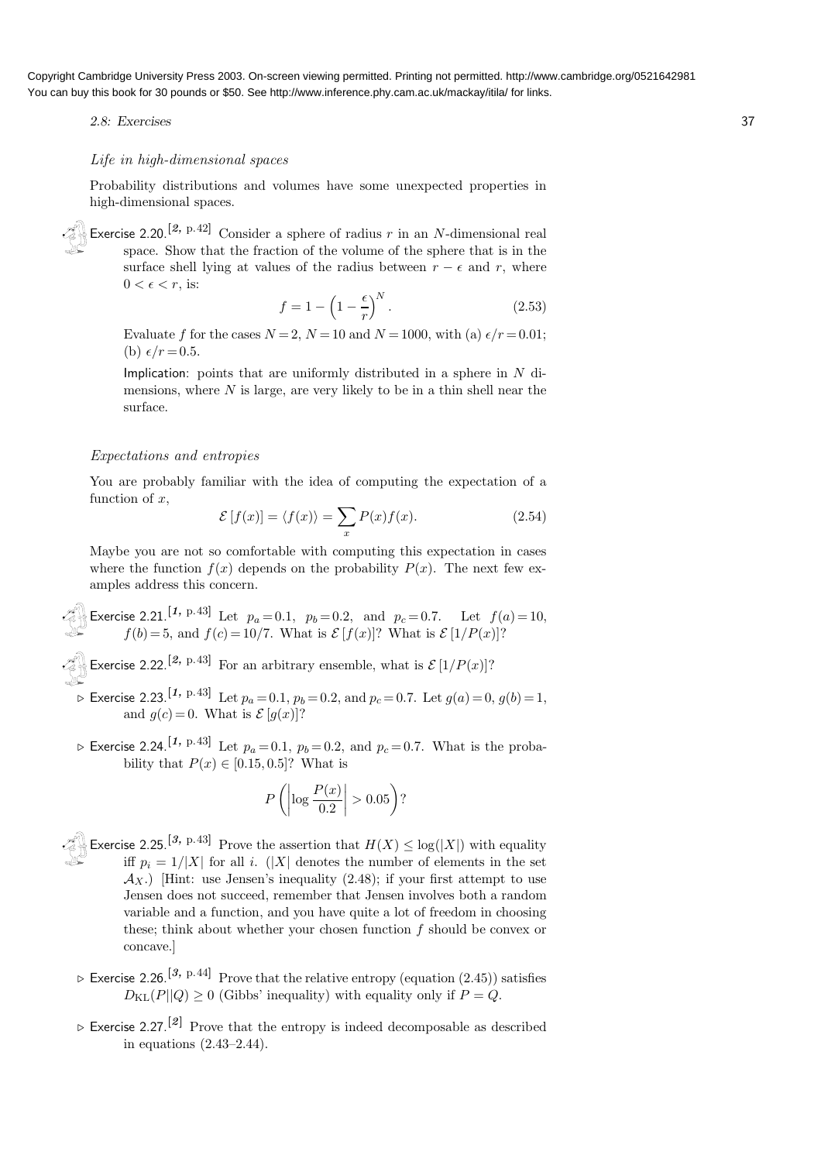2.8: Exercises 37

# Life in high-dimensional spaces

Probability distributions and volumes have some unexpected properties in high-dimensional spaces.

Exercise 2.20.<sup>[2, p.42]</sup> Consider a sphere of radius r in an N-dimensional real space. Show that the fraction of the volume of the sphere that is in the surface shell lying at values of the radius between  $r - \epsilon$  and r, where  $0 < \epsilon < r$ , is:

$$
f = 1 - \left(1 - \frac{\epsilon}{r}\right)^N.
$$
\n(2.53)

Evaluate f for the cases  $N = 2$ ,  $N = 10$  and  $N = 1000$ , with (a)  $\epsilon/r = 0.01$ ; (b)  $\epsilon/r = 0.5$ .

Implication: points that are uniformly distributed in a sphere in  $N$  dimensions, where  $N$  is large, are very likely to be in a thin shell near the surface.

#### Expectations and entropies

You are probably familiar with the idea of computing the expectation of a function of  $x$ ,

$$
\mathcal{E}[f(x)] = \langle f(x) \rangle = \sum_{x} P(x)f(x). \tag{2.54}
$$

Maybe you are not so comfortable with computing this expectation in cases where the function  $f(x)$  depends on the probability  $P(x)$ . The next few examples address this concern.

Exercise 2.21.<sup>[1, p.43]</sup> Let  $p_a = 0.1$ ,  $p_b = 0.2$ , and  $p_c = 0.7$ . Let  $f(a) = 10$ ,  $f(b)=5$ , and  $f(c)=10/7$ . What is  $\mathcal{E}[f(x)]$ ? What is  $\mathcal{E}[1/P(x)]$ ?

Exercise 2.22.<sup>[2, p.43]</sup> For an arbitrary ensemble, what is  $\mathcal{E}[1/P(x)]$ ?

- Exercise 2.23.<sup>[1, p.43]</sup> Let  $p_a = 0.1$ ,  $p_b = 0.2$ , and  $p_c = 0.7$ . Let  $g(a) = 0$ ,  $g(b) = 1$ , and  $g(c) = 0$ . What is  $\mathcal{E}[g(x)]$ ?
- $\triangleright$  Exercise 2.24.<sup>[1, p.43]</sup> Let  $p_a = 0.1, p_b = 0.2,$  and  $p_c = 0.7$ . What is the probability that  $P(x) \in [0.15, 0.5]$ ? What is

$$
P\left(\left|\log\frac{P(x)}{0.2}\right| > 0.05\right)?
$$

Exercise 2.25.<sup>[3, p.43]</sup> Prove the assertion that  $H(X) \leq \log(|X|)$  with equality iff  $p_i = 1/|X|$  for all i. (|X| denotes the number of elements in the set  $\mathcal{A}_X$ .) [Hint: use Jensen's inequality (2.48); if your first attempt to use Jensen does not succeed, remember that Jensen involves both a random variable and a function, and you have quite a lot of freedom in choosing these; think about whether your chosen function  $f$  should be convex or concave.]

- $\triangleright$  Exercise 2.26.<sup>[3, p.44]</sup> Prove that the relative entropy (equation (2.45)) satisfies  $D_{\text{KL}}(P||Q) \geq 0$  (Gibbs' inequality) with equality only if  $P = Q$ .
- $\triangleright$  Exercise 2.27.<sup>[2]</sup> Prove that the entropy is indeed decomposable as described in equations (2.43–2.44).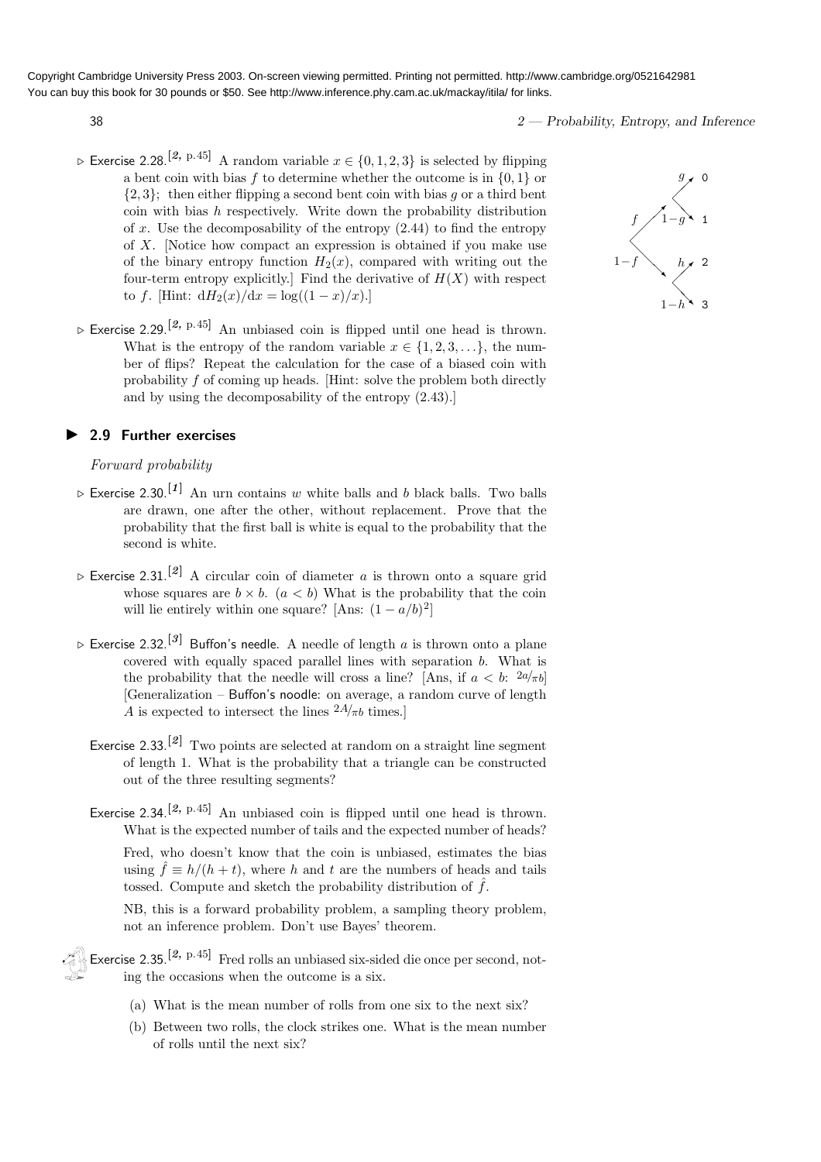38 2 — Probability, Entropy, and Inference

- ⊳ Exercise 2.28.<sup>[2, p.45]</sup> A random variable  $x \in \{0, 1, 2, 3\}$  is selected by flipping a bent coin with bias f to determine whether the outcome is in  $\{0, 1\}$  or  $\{2,3\}$ ; then either flipping a second bent coin with bias g or a third bent coin with bias h respectively. Write down the probability distribution of x. Use the decomposability of the entropy  $(2.44)$  to find the entropy of X. [Notice how compact an expression is obtained if you make use of the binary entropy function  $H_2(x)$ , compared with writing out the four-term entropy explicitly.] Find the derivative of  $H(X)$  with respect to f. [Hint:  $dH_2(x)/dx = \log((1-x)/x)$ .]
- $\triangleright$  Exercise 2.29.<sup>[2, p.45]</sup> An unbiased coin is flipped until one head is thrown. What is the entropy of the random variable  $x \in \{1, 2, 3, \ldots\}$ , the number of flips? Repeat the calculation for the case of a biased coin with probability f of coming up heads. [Hint: solve the problem both directly and by using the decomposability of the entropy (2.43).]

# ▶ 2.9 Further exercises

# Forward probability

- $\triangleright$  Exercise 2.30.<sup>[1]</sup> An urn contains w white balls and b black balls. Two balls are drawn, one after the other, without replacement. Prove that the probability that the first ball is white is equal to the probability that the second is white.
- $\triangleright$  Exercise 2.31.<sup>[2]</sup> A circular coin of diameter a is thrown onto a square grid whose squares are  $b \times b$ .  $(a < b)$  What is the probability that the coin will lie entirely within one square? [Ans:  $(1 - a/b)^2$ ]
- $\triangleright$  Exercise 2.32.<sup>[3]</sup> Buffon's needle. A needle of length a is thrown onto a plane covered with equally spaced parallel lines with separation b. What is the probability that the needle will cross a line? [Ans, if  $a < b$ :  $\frac{2a}{\pi b}$ ] [Generalization – Buffon's noodle: on average, a random curve of length A is expected to intersect the lines  $2A/\pi b$  times.]
	- Exercise 2.33.<sup>[2]</sup> Two points are selected at random on a straight line segment of length 1. What is the probability that a triangle can be constructed out of the three resulting segments?
	- Exercise 2.34.<sup>[2, p.45]</sup> An unbiased coin is flipped until one head is thrown. What is the expected number of tails and the expected number of heads?

Fred, who doesn't know that the coin is unbiased, estimates the bias using  $\hat{f} \equiv h/(h + t)$ , where h and t are the numbers of heads and tails tossed. Compute and sketch the probability distribution of  $\hat{f}$ .

NB, this is a forward probability problem, a sampling theory problem, not an inference problem. Don't use Bayes' theorem.

Exercise 2.35.[2, p.45] Fred rolls an unbiased six-sided die once per second, noting the occasions when the outcome is a six.

- (a) What is the mean number of rolls from one six to the next six?
- (b) Between two rolls, the clock strikes one. What is the mean number of rolls until the next six?

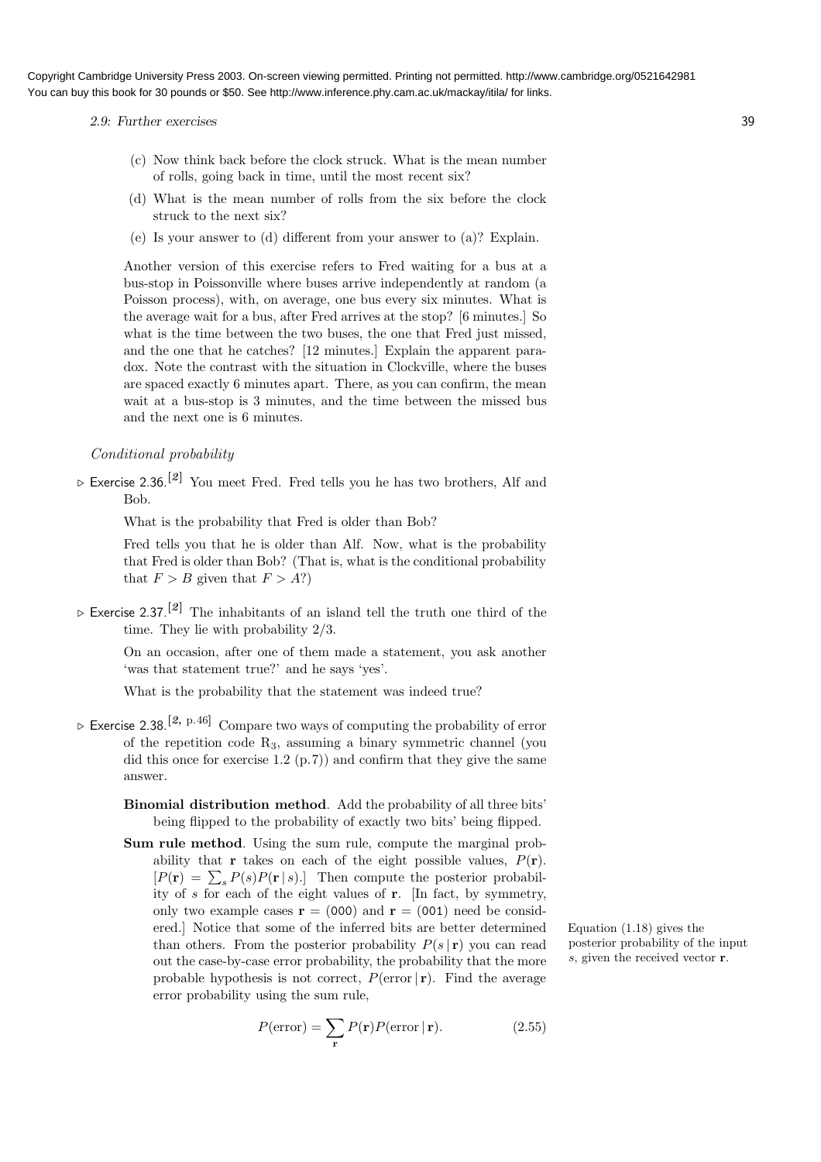2.9: Further exercises 39

- (c) Now think back before the clock struck. What is the mean number of rolls, going back in time, until the most recent six?
- (d) What is the mean number of rolls from the six before the clock struck to the next six?
- (e) Is your answer to (d) different from your answer to (a)? Explain.

Another version of this exercise refers to Fred waiting for a bus at a bus-stop in Poissonville where buses arrive independently at random (a Poisson process), with, on average, one bus every six minutes. What is the average wait for a bus, after Fred arrives at the stop? [6 minutes.] So what is the time between the two buses, the one that Fred just missed, and the one that he catches? [12 minutes.] Explain the apparent paradox. Note the contrast with the situation in Clockville, where the buses are spaced exactly 6 minutes apart. There, as you can confirm, the mean wait at a bus-stop is 3 minutes, and the time between the missed bus and the next one is 6 minutes.

## Conditional probability

 $\triangleright$  Exercise 2.36.<sup>[2]</sup> You meet Fred. Fred tells you he has two brothers, Alf and Bob.

What is the probability that Fred is older than Bob?

Fred tells you that he is older than Alf. Now, what is the probability that Fred is older than Bob? (That is, what is the conditional probability that  $F > B$  given that  $F > A$ ?)

 $\triangleright$  Exercise 2.37.<sup>[2]</sup> The inhabitants of an island tell the truth one third of the time. They lie with probability 2/3.

> On an occasion, after one of them made a statement, you ask another 'was that statement true?' and he says 'yes'.

What is the probability that the statement was indeed true?

- $\triangleright$  Exercise 2.38.<sup>[2, p.46]</sup> Compare two ways of computing the probability of error of the repetition code  $R_3$ , assuming a binary symmetric channel (you did this once for exercise 1.2  $(p.7)$  and confirm that they give the same answer.
	- Binomial distribution method. Add the probability of all three bits' being flipped to the probability of exactly two bits' being flipped.
	- Sum rule method. Using the sum rule, compute the marginal probability that **r** takes on each of the eight possible values,  $P(\mathbf{r})$ .  $[P(\mathbf{r}) = \sum_{s} P(s)P(\mathbf{r} | s).]$  Then compute the posterior probability of s for each of the eight values of r. [In fact, by symmetry, only two example cases  $\mathbf{r} = (000)$  and  $\mathbf{r} = (001)$  need be considered.] Notice that some of the inferred bits are better determined Equation (1.18) gives the than others. From the posterior probability  $P(s|\mathbf{r})$  you can read out the case-by-case error probability, the probability that the more probable hypothesis is not correct,  $P(\text{error} | \mathbf{r})$ . Find the average error probability using the sum rule,

$$
P(\text{error}) = \sum_{\mathbf{r}} P(\mathbf{r}) P(\text{error} \mid \mathbf{r}). \tag{2.55}
$$

posterior probability of the input s, given the received vector r.